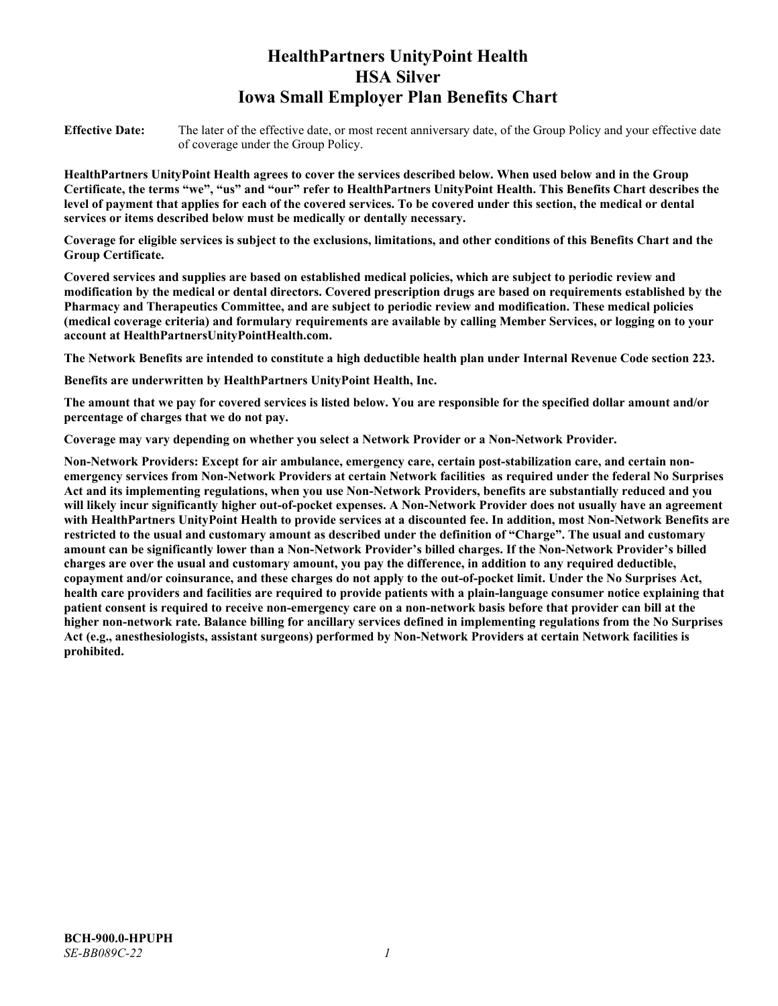# **HealthPartners UnityPoint Health HSA Silver Iowa Small Employer Plan Benefits Chart**

**Effective Date:** The later of the effective date, or most recent anniversary date, of the Group Policy and your effective date of coverage under the Group Policy.

**HealthPartners UnityPoint Health agrees to cover the services described below. When used below and in the Group Certificate, the terms "we", "us" and "our" refer to HealthPartners UnityPoint Health. This Benefits Chart describes the level of payment that applies for each of the covered services. To be covered under this section, the medical or dental services or items described below must be medically or dentally necessary.**

**Coverage for eligible services is subject to the exclusions, limitations, and other conditions of this Benefits Chart and the Group Certificate.** 

**Covered services and supplies are based on established medical policies, which are subject to periodic review and modification by the medical or dental directors. Covered prescription drugs are based on requirements established by the Pharmacy and Therapeutics Committee, and are subject to periodic review and modification. These medical policies (medical coverage criteria) and formulary requirements are available by calling Member Services, or logging on to your account at [HealthPartnersUnityPointHealth.com.](https://www.healthpartnersunitypointhealth.com/)**

**The Network Benefits are intended to constitute a high deductible health plan under Internal Revenue Code section 223.**

**Benefits are underwritten by HealthPartners UnityPoint Health, Inc.**

**The amount that we pay for covered services is listed below. You are responsible for the specified dollar amount and/or percentage of charges that we do not pay.**

**Coverage may vary depending on whether you select a Network Provider or a Non-Network Provider.**

**Non-Network Providers: Except for air ambulance, emergency care, certain post-stabilization care, and certain nonemergency services from Non-Network Providers at certain Network facilities as required under the federal No Surprises Act and its implementing regulations, when you use Non-Network Providers, benefits are substantially reduced and you will likely incur significantly higher out-of-pocket expenses. A Non-Network Provider does not usually have an agreement with HealthPartners UnityPoint Health to provide services at a discounted fee. In addition, most Non-Network Benefits are restricted to the usual and customary amount as described under the definition of "Charge". The usual and customary amount can be significantly lower than a Non-Network Provider's billed charges. If the Non-Network Provider's billed charges are over the usual and customary amount, you pay the difference, in addition to any required deductible, copayment and/or coinsurance, and these charges do not apply to the out-of-pocket limit. Under the No Surprises Act, health care providers and facilities are required to provide patients with a plain-language consumer notice explaining that patient consent is required to receive non-emergency care on a non-network basis before that provider can bill at the higher non-network rate. Balance billing for ancillary services defined in implementing regulations from the No Surprises Act (e.g., anesthesiologists, assistant surgeons) performed by Non-Network Providers at certain Network facilities is prohibited.**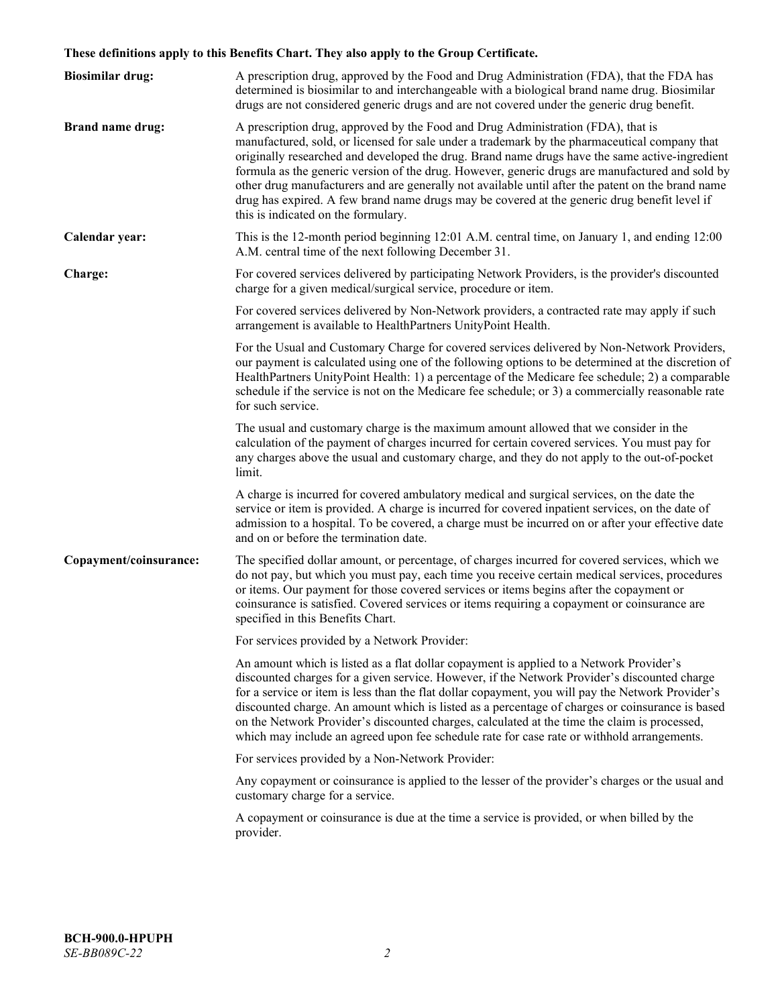# **These definitions apply to this Benefits Chart. They also apply to the Group Certificate.**

| <b>Biosimilar drug:</b> | A prescription drug, approved by the Food and Drug Administration (FDA), that the FDA has<br>determined is biosimilar to and interchangeable with a biological brand name drug. Biosimilar<br>drugs are not considered generic drugs and are not covered under the generic drug benefit.                                                                                                                                                                                                                                                                                                                                           |
|-------------------------|------------------------------------------------------------------------------------------------------------------------------------------------------------------------------------------------------------------------------------------------------------------------------------------------------------------------------------------------------------------------------------------------------------------------------------------------------------------------------------------------------------------------------------------------------------------------------------------------------------------------------------|
| <b>Brand name drug:</b> | A prescription drug, approved by the Food and Drug Administration (FDA), that is<br>manufactured, sold, or licensed for sale under a trademark by the pharmaceutical company that<br>originally researched and developed the drug. Brand name drugs have the same active-ingredient<br>formula as the generic version of the drug. However, generic drugs are manufactured and sold by<br>other drug manufacturers and are generally not available until after the patent on the brand name<br>drug has expired. A few brand name drugs may be covered at the generic drug benefit level if<br>this is indicated on the formulary. |
| Calendar year:          | This is the 12-month period beginning 12:01 A.M. central time, on January 1, and ending 12:00<br>A.M. central time of the next following December 31.                                                                                                                                                                                                                                                                                                                                                                                                                                                                              |
| Charge:                 | For covered services delivered by participating Network Providers, is the provider's discounted<br>charge for a given medical/surgical service, procedure or item.                                                                                                                                                                                                                                                                                                                                                                                                                                                                 |
|                         | For covered services delivered by Non-Network providers, a contracted rate may apply if such<br>arrangement is available to HealthPartners UnityPoint Health.                                                                                                                                                                                                                                                                                                                                                                                                                                                                      |
|                         | For the Usual and Customary Charge for covered services delivered by Non-Network Providers,<br>our payment is calculated using one of the following options to be determined at the discretion of<br>HealthPartners UnityPoint Health: 1) a percentage of the Medicare fee schedule; 2) a comparable<br>schedule if the service is not on the Medicare fee schedule; or 3) a commercially reasonable rate<br>for such service.                                                                                                                                                                                                     |
|                         | The usual and customary charge is the maximum amount allowed that we consider in the<br>calculation of the payment of charges incurred for certain covered services. You must pay for<br>any charges above the usual and customary charge, and they do not apply to the out-of-pocket<br>limit.                                                                                                                                                                                                                                                                                                                                    |
|                         | A charge is incurred for covered ambulatory medical and surgical services, on the date the<br>service or item is provided. A charge is incurred for covered inpatient services, on the date of<br>admission to a hospital. To be covered, a charge must be incurred on or after your effective date<br>and on or before the termination date.                                                                                                                                                                                                                                                                                      |
| Copayment/coinsurance:  | The specified dollar amount, or percentage, of charges incurred for covered services, which we<br>do not pay, but which you must pay, each time you receive certain medical services, procedures<br>or items. Our payment for those covered services or items begins after the copayment or<br>coinsurance is satisfied. Covered services or items requiring a copayment or coinsurance are<br>specified in this Benefits Chart.                                                                                                                                                                                                   |
|                         | For services provided by a Network Provider:                                                                                                                                                                                                                                                                                                                                                                                                                                                                                                                                                                                       |
|                         | An amount which is listed as a flat dollar copayment is applied to a Network Provider's<br>discounted charges for a given service. However, if the Network Provider's discounted charge<br>for a service or item is less than the flat dollar copayment, you will pay the Network Provider's<br>discounted charge. An amount which is listed as a percentage of charges or coinsurance is based<br>on the Network Provider's discounted charges, calculated at the time the claim is processed,<br>which may include an agreed upon fee schedule rate for case rate or withhold arrangements.                                      |
|                         | For services provided by a Non-Network Provider:                                                                                                                                                                                                                                                                                                                                                                                                                                                                                                                                                                                   |
|                         | Any copayment or coinsurance is applied to the lesser of the provider's charges or the usual and<br>customary charge for a service.                                                                                                                                                                                                                                                                                                                                                                                                                                                                                                |
|                         | A copayment or coinsurance is due at the time a service is provided, or when billed by the<br>provider.                                                                                                                                                                                                                                                                                                                                                                                                                                                                                                                            |
|                         |                                                                                                                                                                                                                                                                                                                                                                                                                                                                                                                                                                                                                                    |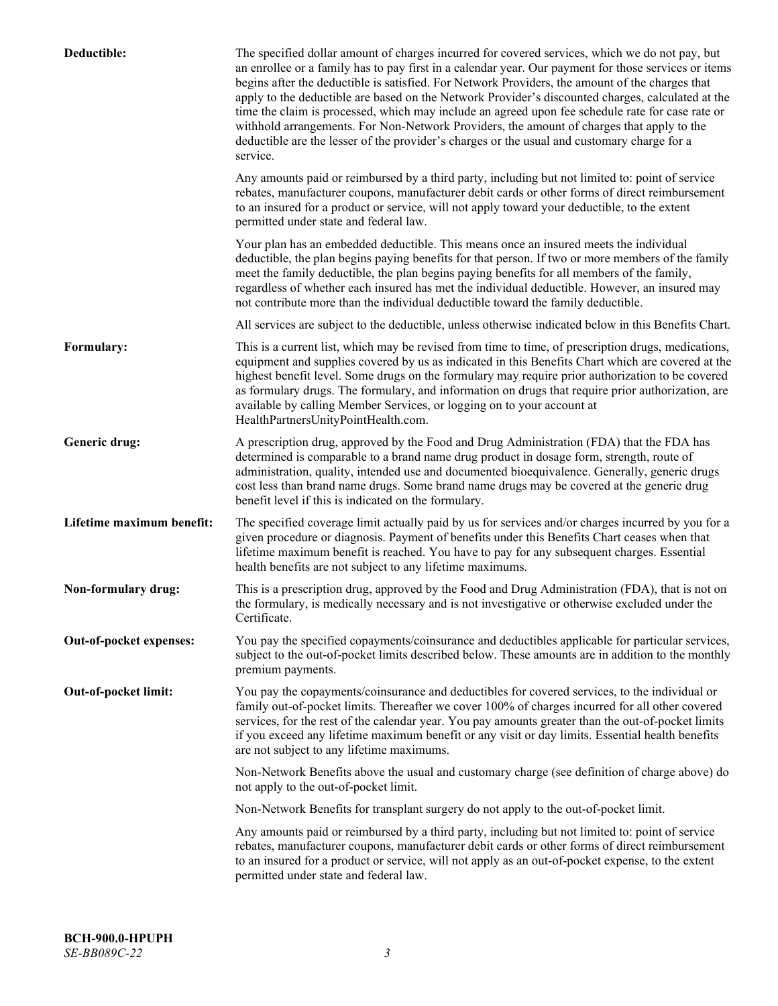| Deductible:               | The specified dollar amount of charges incurred for covered services, which we do not pay, but<br>an enrollee or a family has to pay first in a calendar year. Our payment for those services or items<br>begins after the deductible is satisfied. For Network Providers, the amount of the charges that<br>apply to the deductible are based on the Network Provider's discounted charges, calculated at the<br>time the claim is processed, which may include an agreed upon fee schedule rate for case rate or<br>withhold arrangements. For Non-Network Providers, the amount of charges that apply to the<br>deductible are the lesser of the provider's charges or the usual and customary charge for a<br>service. |
|---------------------------|----------------------------------------------------------------------------------------------------------------------------------------------------------------------------------------------------------------------------------------------------------------------------------------------------------------------------------------------------------------------------------------------------------------------------------------------------------------------------------------------------------------------------------------------------------------------------------------------------------------------------------------------------------------------------------------------------------------------------|
|                           | Any amounts paid or reimbursed by a third party, including but not limited to: point of service<br>rebates, manufacturer coupons, manufacturer debit cards or other forms of direct reimbursement<br>to an insured for a product or service, will not apply toward your deductible, to the extent<br>permitted under state and federal law.                                                                                                                                                                                                                                                                                                                                                                                |
|                           | Your plan has an embedded deductible. This means once an insured meets the individual<br>deductible, the plan begins paying benefits for that person. If two or more members of the family<br>meet the family deductible, the plan begins paying benefits for all members of the family,<br>regardless of whether each insured has met the individual deductible. However, an insured may<br>not contribute more than the individual deductible toward the family deductible.                                                                                                                                                                                                                                              |
|                           | All services are subject to the deductible, unless otherwise indicated below in this Benefits Chart.                                                                                                                                                                                                                                                                                                                                                                                                                                                                                                                                                                                                                       |
| Formulary:                | This is a current list, which may be revised from time to time, of prescription drugs, medications,<br>equipment and supplies covered by us as indicated in this Benefits Chart which are covered at the<br>highest benefit level. Some drugs on the formulary may require prior authorization to be covered<br>as formulary drugs. The formulary, and information on drugs that require prior authorization, are<br>available by calling Member Services, or logging on to your account at<br>HealthPartnersUnityPointHealth.com.                                                                                                                                                                                         |
| Generic drug:             | A prescription drug, approved by the Food and Drug Administration (FDA) that the FDA has<br>determined is comparable to a brand name drug product in dosage form, strength, route of<br>administration, quality, intended use and documented bioequivalence. Generally, generic drugs<br>cost less than brand name drugs. Some brand name drugs may be covered at the generic drug<br>benefit level if this is indicated on the formulary.                                                                                                                                                                                                                                                                                 |
| Lifetime maximum benefit: | The specified coverage limit actually paid by us for services and/or charges incurred by you for a<br>given procedure or diagnosis. Payment of benefits under this Benefits Chart ceases when that<br>lifetime maximum benefit is reached. You have to pay for any subsequent charges. Essential<br>health benefits are not subject to any lifetime maximums.                                                                                                                                                                                                                                                                                                                                                              |
| Non-formulary drug:       | This is a prescription drug, approved by the Food and Drug Administration (FDA), that is not on<br>the formulary, is medically necessary and is not investigative or otherwise excluded under the<br>Certificate.                                                                                                                                                                                                                                                                                                                                                                                                                                                                                                          |
| Out-of-pocket expenses:   | You pay the specified copayments/coinsurance and deductibles applicable for particular services,<br>subject to the out-of-pocket limits described below. These amounts are in addition to the monthly<br>premium payments.                                                                                                                                                                                                                                                                                                                                                                                                                                                                                                 |
| Out-of-pocket limit:      | You pay the copayments/coinsurance and deductibles for covered services, to the individual or<br>family out-of-pocket limits. Thereafter we cover 100% of charges incurred for all other covered<br>services, for the rest of the calendar year. You pay amounts greater than the out-of-pocket limits<br>if you exceed any lifetime maximum benefit or any visit or day limits. Essential health benefits<br>are not subject to any lifetime maximums.                                                                                                                                                                                                                                                                    |
|                           | Non-Network Benefits above the usual and customary charge (see definition of charge above) do<br>not apply to the out-of-pocket limit.                                                                                                                                                                                                                                                                                                                                                                                                                                                                                                                                                                                     |
|                           | Non-Network Benefits for transplant surgery do not apply to the out-of-pocket limit.                                                                                                                                                                                                                                                                                                                                                                                                                                                                                                                                                                                                                                       |
|                           | Any amounts paid or reimbursed by a third party, including but not limited to: point of service<br>rebates, manufacturer coupons, manufacturer debit cards or other forms of direct reimbursement<br>to an insured for a product or service, will not apply as an out-of-pocket expense, to the extent<br>permitted under state and federal law.                                                                                                                                                                                                                                                                                                                                                                           |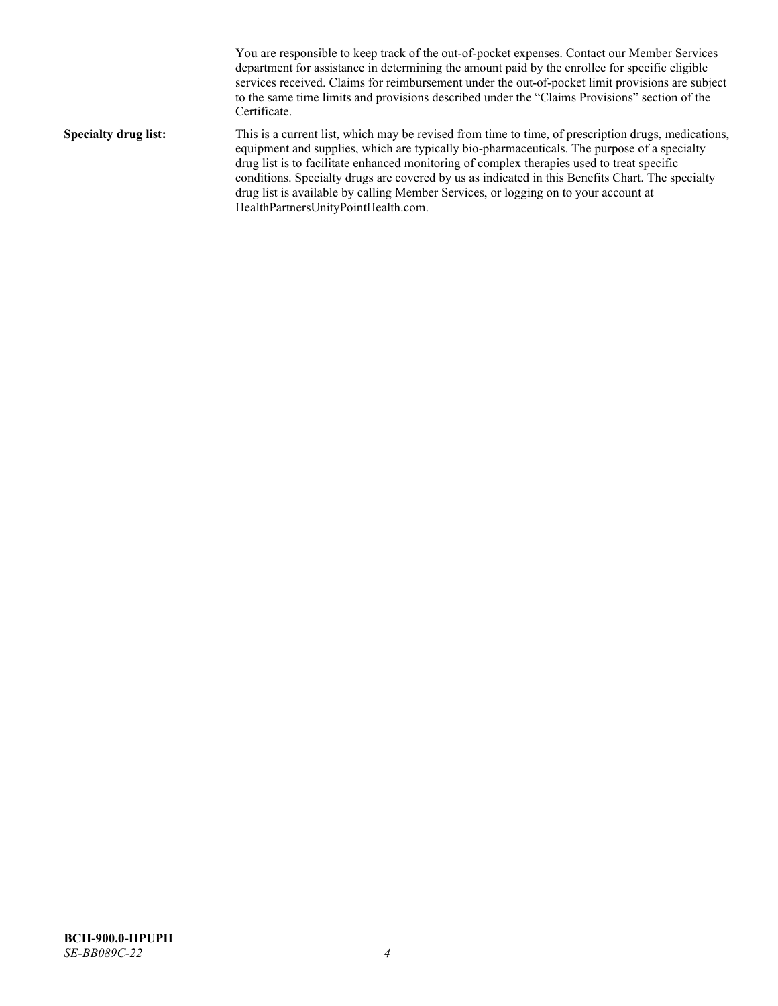You are responsible to keep track of the out-of-pocket expenses. Contact our Member Services department for assistance in determining the amount paid by the enrollee for specific eligible services received. Claims for reimbursement under the out-of-pocket limit provisions are subject to the same time limits and provisions described under the "Claims Provisions" section of the Certificate. **Specialty drug list:** This is a current list, which may be revised from time to time, of prescription drugs, medications, equipment and supplies, which are typically bio-pharmaceuticals. The purpose of a specialty drug list is to facilitate enhanced monitoring of complex therapies used to treat specific conditions. Specialty drugs are covered by us as indicated in this Benefits Chart. The specialty drug list is available by calling Member Services, or logging on to your account at [HealthPartnersUnityPointHealth.com.](https://www.healthpartnersunitypointhealth.com/)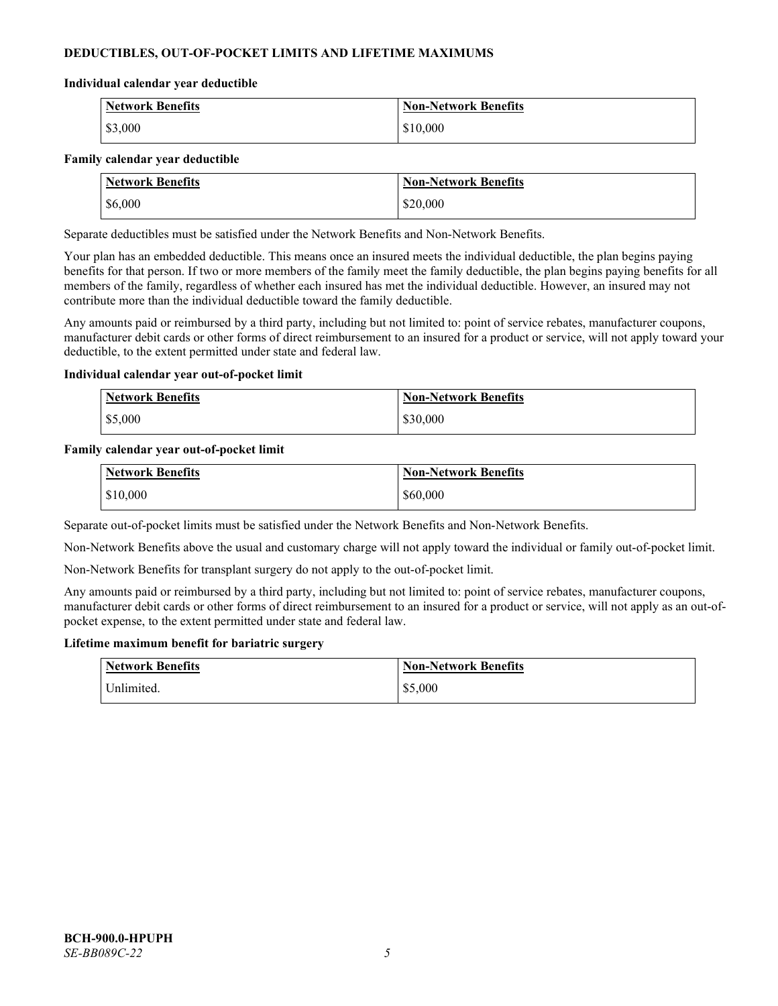# **DEDUCTIBLES, OUT-OF-POCKET LIMITS AND LIFETIME MAXIMUMS**

#### **Individual calendar year deductible**

| Network Benefits | <b>Non-Network Benefits</b> |
|------------------|-----------------------------|
| \$3,000          | \$10,000                    |

#### **Family calendar year deductible**

| <b>Network Benefits</b> | <b>Non-Network Benefits</b> |
|-------------------------|-----------------------------|
| \$6,000                 | \$20,000                    |

Separate deductibles must be satisfied under the Network Benefits and Non-Network Benefits.

Your plan has an embedded deductible. This means once an insured meets the individual deductible, the plan begins paying benefits for that person. If two or more members of the family meet the family deductible, the plan begins paying benefits for all members of the family, regardless of whether each insured has met the individual deductible. However, an insured may not contribute more than the individual deductible toward the family deductible.

Any amounts paid or reimbursed by a third party, including but not limited to: point of service rebates, manufacturer coupons, manufacturer debit cards or other forms of direct reimbursement to an insured for a product or service, will not apply toward your deductible, to the extent permitted under state and federal law.

#### **Individual calendar year out-of-pocket limit**

| <b>Network Benefits</b> | <b>Non-Network Benefits</b> |
|-------------------------|-----------------------------|
| \$5,000                 | \$30,000                    |

#### **Family calendar year out-of-pocket limit**

| <b>Network Benefits</b> | <b>Non-Network Benefits</b> |
|-------------------------|-----------------------------|
| \$10,000                | \$60,000                    |

Separate out-of-pocket limits must be satisfied under the Network Benefits and Non-Network Benefits.

Non-Network Benefits above the usual and customary charge will not apply toward the individual or family out-of-pocket limit.

Non-Network Benefits for transplant surgery do not apply to the out-of-pocket limit.

Any amounts paid or reimbursed by a third party, including but not limited to: point of service rebates, manufacturer coupons, manufacturer debit cards or other forms of direct reimbursement to an insured for a product or service, will not apply as an out-ofpocket expense, to the extent permitted under state and federal law.

#### **Lifetime maximum benefit for bariatric surgery**

| <b>Network Benefits</b> | <b>Non-Network Benefits</b> |
|-------------------------|-----------------------------|
| <sup>I</sup> Inlimited. | \$5,000                     |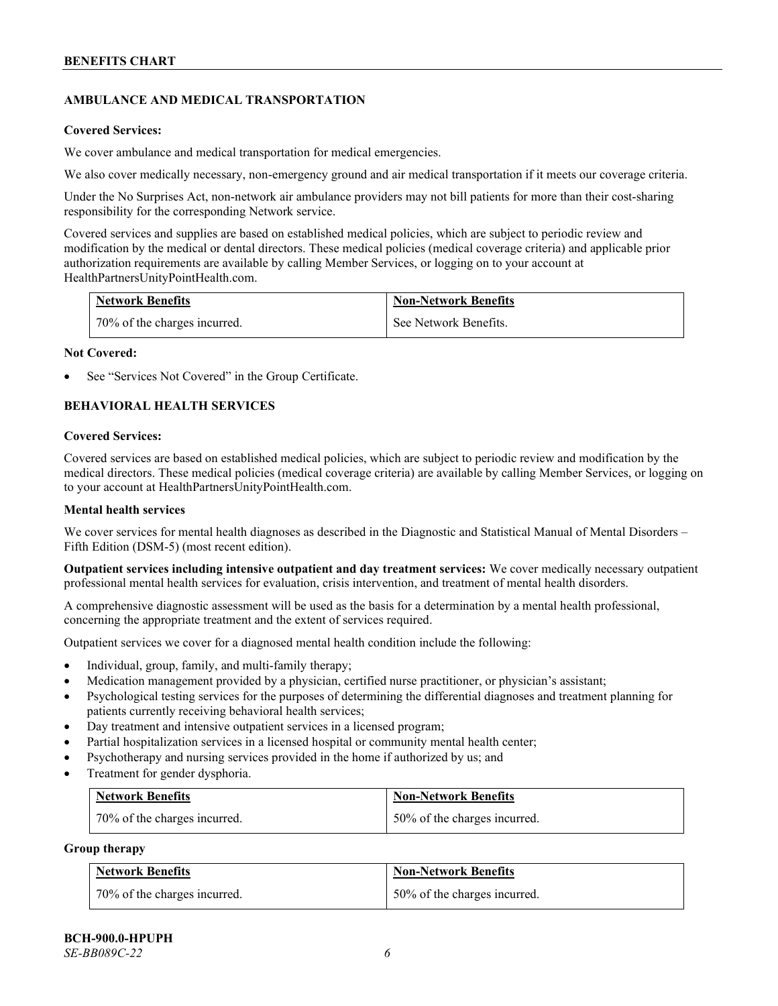# **AMBULANCE AND MEDICAL TRANSPORTATION**

#### **Covered Services:**

We cover ambulance and medical transportation for medical emergencies.

We also cover medically necessary, non-emergency ground and air medical transportation if it meets our coverage criteria.

Under the No Surprises Act, non-network air ambulance providers may not bill patients for more than their cost-sharing responsibility for the corresponding Network service.

Covered services and supplies are based on established medical policies, which are subject to periodic review and modification by the medical or dental directors. These medical policies (medical coverage criteria) and applicable prior authorization requirements are available by calling Member Services, or logging on to your account at [HealthPartnersUnityPointHealth.com.](https://www.healthpartnersunitypointhealth.com/)

| <b>Network Benefits</b>      | <b>Non-Network Benefits</b> |
|------------------------------|-----------------------------|
| 70% of the charges incurred. | See Network Benefits.       |

#### **Not Covered:**

See "Services Not Covered" in the Group Certificate.

# **BEHAVIORAL HEALTH SERVICES**

#### **Covered Services:**

Covered services are based on established medical policies, which are subject to periodic review and modification by the medical directors. These medical policies (medical coverage criteria) are available by calling Member Services, or logging on to your account at [HealthPartnersUnityPointHealth.com.](https://www.healthpartnersunitypointhealth.com/)

# **Mental health services**

We cover services for mental health diagnoses as described in the Diagnostic and Statistical Manual of Mental Disorders – Fifth Edition (DSM-5) (most recent edition).

**Outpatient services including intensive outpatient and day treatment services:** We cover medically necessary outpatient professional mental health services for evaluation, crisis intervention, and treatment of mental health disorders.

A comprehensive diagnostic assessment will be used as the basis for a determination by a mental health professional, concerning the appropriate treatment and the extent of services required.

Outpatient services we cover for a diagnosed mental health condition include the following:

- Individual, group, family, and multi-family therapy;
- Medication management provided by a physician, certified nurse practitioner, or physician's assistant;
- Psychological testing services for the purposes of determining the differential diagnoses and treatment planning for patients currently receiving behavioral health services;
- Day treatment and intensive outpatient services in a licensed program;
- Partial hospitalization services in a licensed hospital or community mental health center;
- Psychotherapy and nursing services provided in the home if authorized by us; and
- Treatment for gender dysphoria.

| <b>Network Benefits</b>      | <b>Non-Network Benefits</b>  |
|------------------------------|------------------------------|
| 70% of the charges incurred. | 50% of the charges incurred. |

#### **Group therapy**

| <b>Network Benefits</b>          | <b>Non-Network Benefits</b>  |
|----------------------------------|------------------------------|
| $170\%$ of the charges incurred. | 50% of the charges incurred. |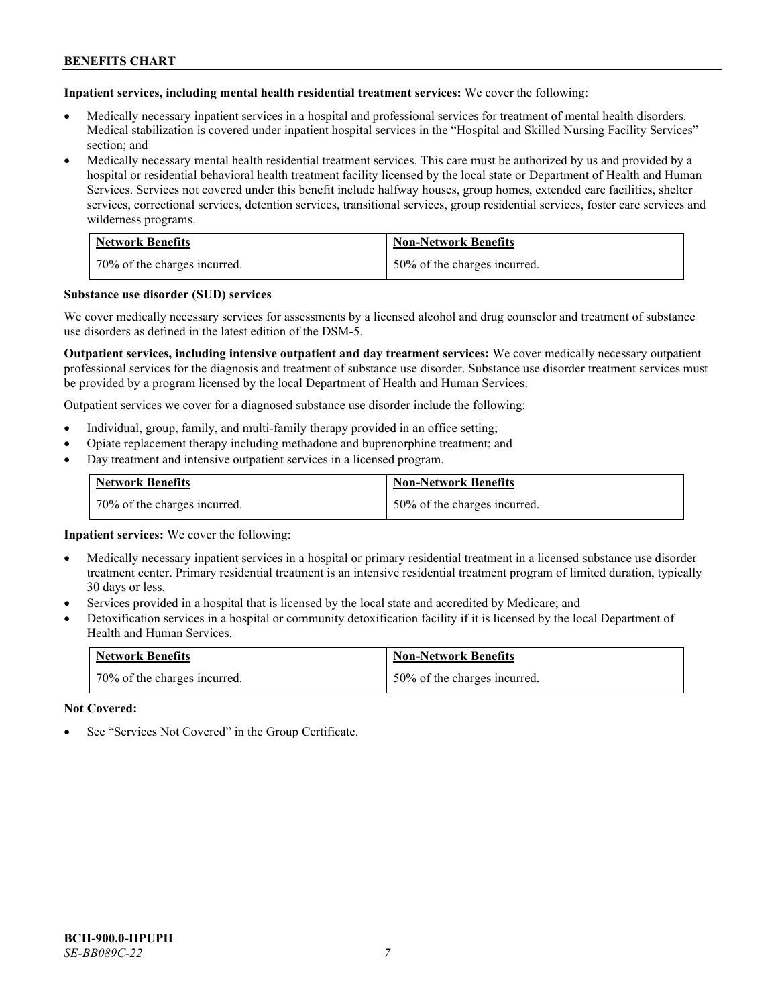**Inpatient services, including mental health residential treatment services:** We cover the following:

- Medically necessary inpatient services in a hospital and professional services for treatment of mental health disorders. Medical stabilization is covered under inpatient hospital services in the "Hospital and Skilled Nursing Facility Services" section; and
- Medically necessary mental health residential treatment services. This care must be authorized by us and provided by a hospital or residential behavioral health treatment facility licensed by the local state or Department of Health and Human Services. Services not covered under this benefit include halfway houses, group homes, extended care facilities, shelter services, correctional services, detention services, transitional services, group residential services, foster care services and wilderness programs.

| <b>Network Benefits</b>      | <b>Non-Network Benefits</b>  |
|------------------------------|------------------------------|
| 70% of the charges incurred. | 50% of the charges incurred. |

#### **Substance use disorder (SUD) services**

We cover medically necessary services for assessments by a licensed alcohol and drug counselor and treatment of substance use disorders as defined in the latest edition of the DSM-5.

**Outpatient services, including intensive outpatient and day treatment services:** We cover medically necessary outpatient professional services for the diagnosis and treatment of substance use disorder. Substance use disorder treatment services must be provided by a program licensed by the local Department of Health and Human Services.

Outpatient services we cover for a diagnosed substance use disorder include the following:

- Individual, group, family, and multi-family therapy provided in an office setting;
- Opiate replacement therapy including methadone and buprenorphine treatment; and
- Day treatment and intensive outpatient services in a licensed program.

| <b>Network Benefits</b>      | <b>Non-Network Benefits</b>  |
|------------------------------|------------------------------|
| 70% of the charges incurred. | 50% of the charges incurred. |

**Inpatient services:** We cover the following:

- Medically necessary inpatient services in a hospital or primary residential treatment in a licensed substance use disorder treatment center. Primary residential treatment is an intensive residential treatment program of limited duration, typically 30 days or less.
- Services provided in a hospital that is licensed by the local state and accredited by Medicare; and
- Detoxification services in a hospital or community detoxification facility if it is licensed by the local Department of Health and Human Services.

| <b>Network Benefits</b>      | <b>Non-Network Benefits</b>  |
|------------------------------|------------------------------|
| 70% of the charges incurred. | 50% of the charges incurred. |

**Not Covered:**

See "Services Not Covered" in the Group Certificate.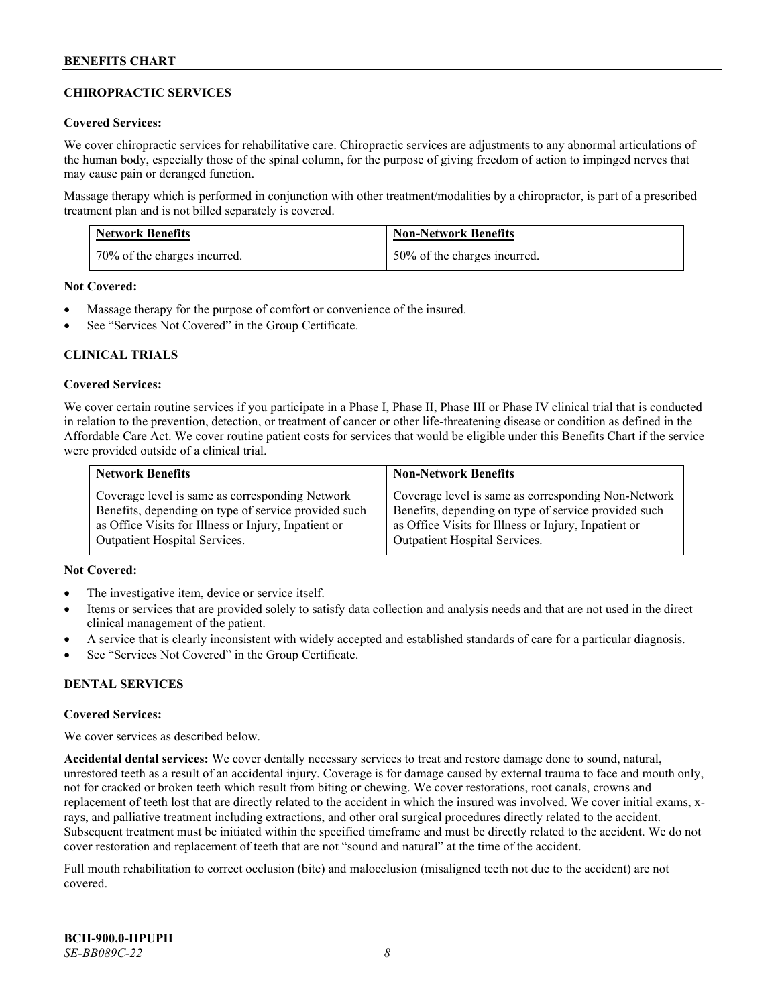# **CHIROPRACTIC SERVICES**

# **Covered Services:**

We cover chiropractic services for rehabilitative care. Chiropractic services are adjustments to any abnormal articulations of the human body, especially those of the spinal column, for the purpose of giving freedom of action to impinged nerves that may cause pain or deranged function.

Massage therapy which is performed in conjunction with other treatment/modalities by a chiropractor, is part of a prescribed treatment plan and is not billed separately is covered.

| <b>Network Benefits</b>      | <b>Non-Network Benefits</b>  |
|------------------------------|------------------------------|
| 70% of the charges incurred. | 50% of the charges incurred. |

**Not Covered:**

- Massage therapy for the purpose of comfort or convenience of the insured.
- See "Services Not Covered" in the Group Certificate.

# **CLINICAL TRIALS**

#### **Covered Services:**

We cover certain routine services if you participate in a Phase I, Phase II, Phase III or Phase IV clinical trial that is conducted in relation to the prevention, detection, or treatment of cancer or other life-threatening disease or condition as defined in the Affordable Care Act. We cover routine patient costs for services that would be eligible under this Benefits Chart if the service were provided outside of a clinical trial.

| <b>Network Benefits</b>                              | <b>Non-Network Benefits</b>                          |
|------------------------------------------------------|------------------------------------------------------|
| Coverage level is same as corresponding Network      | Coverage level is same as corresponding Non-Network  |
| Benefits, depending on type of service provided such | Benefits, depending on type of service provided such |
| as Office Visits for Illness or Injury, Inpatient or | as Office Visits for Illness or Injury, Inpatient or |
| <b>Outpatient Hospital Services.</b>                 | <b>Outpatient Hospital Services.</b>                 |

# **Not Covered:**

- The investigative item, device or service itself.
- Items or services that are provided solely to satisfy data collection and analysis needs and that are not used in the direct clinical management of the patient.
- A service that is clearly inconsistent with widely accepted and established standards of care for a particular diagnosis.
- See "Services Not Covered" in the Group Certificate.

# **DENTAL SERVICES**

#### **Covered Services:**

We cover services as described below.

**Accidental dental services:** We cover dentally necessary services to treat and restore damage done to sound, natural, unrestored teeth as a result of an accidental injury. Coverage is for damage caused by external trauma to face and mouth only, not for cracked or broken teeth which result from biting or chewing. We cover restorations, root canals, crowns and replacement of teeth lost that are directly related to the accident in which the insured was involved. We cover initial exams, xrays, and palliative treatment including extractions, and other oral surgical procedures directly related to the accident. Subsequent treatment must be initiated within the specified timeframe and must be directly related to the accident. We do not cover restoration and replacement of teeth that are not "sound and natural" at the time of the accident.

Full mouth rehabilitation to correct occlusion (bite) and malocclusion (misaligned teeth not due to the accident) are not covered.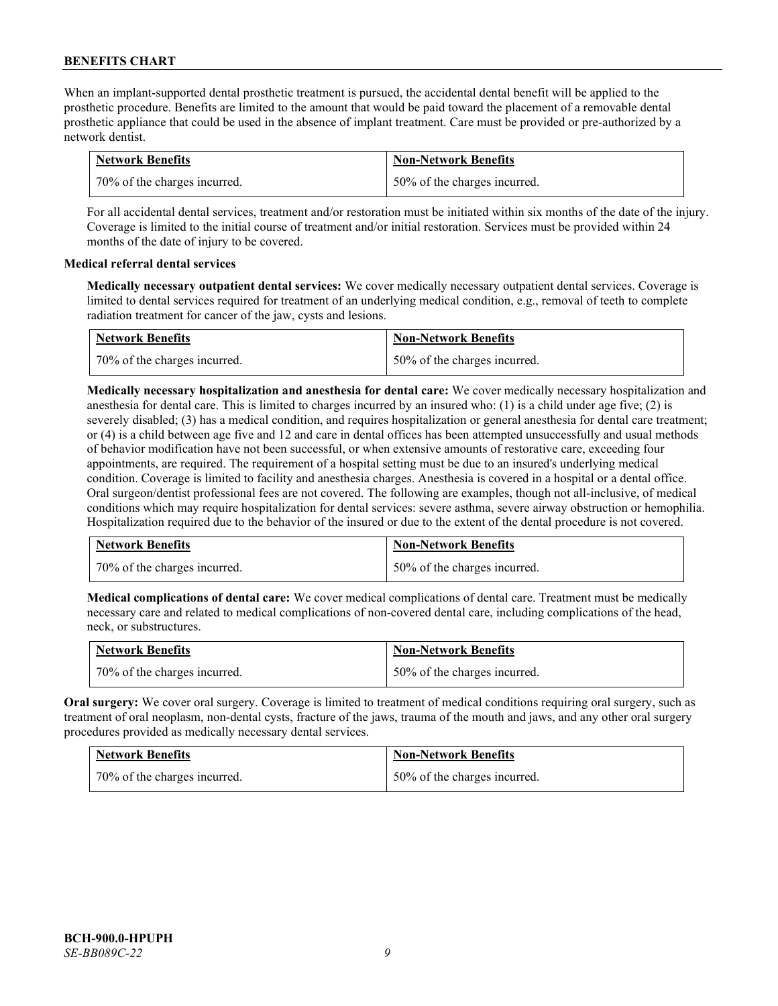When an implant-supported dental prosthetic treatment is pursued, the accidental dental benefit will be applied to the prosthetic procedure. Benefits are limited to the amount that would be paid toward the placement of a removable dental prosthetic appliance that could be used in the absence of implant treatment. Care must be provided or pre-authorized by a network dentist.

| <b>Network Benefits</b>      | <b>Non-Network Benefits</b>  |
|------------------------------|------------------------------|
| 70% of the charges incurred. | 50% of the charges incurred. |

For all accidental dental services, treatment and/or restoration must be initiated within six months of the date of the injury. Coverage is limited to the initial course of treatment and/or initial restoration. Services must be provided within 24 months of the date of injury to be covered.

# **Medical referral dental services**

**Medically necessary outpatient dental services:** We cover medically necessary outpatient dental services. Coverage is limited to dental services required for treatment of an underlying medical condition, e.g., removal of teeth to complete radiation treatment for cancer of the jaw, cysts and lesions.

| <b>Network Benefits</b>      | <b>Non-Network Benefits</b>  |
|------------------------------|------------------------------|
| 70% of the charges incurred. | 50% of the charges incurred. |

**Medically necessary hospitalization and anesthesia for dental care:** We cover medically necessary hospitalization and anesthesia for dental care. This is limited to charges incurred by an insured who: (1) is a child under age five; (2) is severely disabled; (3) has a medical condition, and requires hospitalization or general anesthesia for dental care treatment; or (4) is a child between age five and 12 and care in dental offices has been attempted unsuccessfully and usual methods of behavior modification have not been successful, or when extensive amounts of restorative care, exceeding four appointments, are required. The requirement of a hospital setting must be due to an insured's underlying medical condition. Coverage is limited to facility and anesthesia charges. Anesthesia is covered in a hospital or a dental office. Oral surgeon/dentist professional fees are not covered. The following are examples, though not all-inclusive, of medical conditions which may require hospitalization for dental services: severe asthma, severe airway obstruction or hemophilia. Hospitalization required due to the behavior of the insured or due to the extent of the dental procedure is not covered.

| <b>Network Benefits</b>      | <b>Non-Network Benefits</b>  |
|------------------------------|------------------------------|
| 70% of the charges incurred. | 50% of the charges incurred. |

**Medical complications of dental care:** We cover medical complications of dental care. Treatment must be medically necessary care and related to medical complications of non-covered dental care, including complications of the head, neck, or substructures.

| <b>Network Benefits</b>        | <b>Non-Network Benefits</b>  |
|--------------------------------|------------------------------|
| 1 70% of the charges incurred. | 50% of the charges incurred. |

**Oral surgery:** We cover oral surgery. Coverage is limited to treatment of medical conditions requiring oral surgery, such as treatment of oral neoplasm, non-dental cysts, fracture of the jaws, trauma of the mouth and jaws, and any other oral surgery procedures provided as medically necessary dental services.

| <b>Network Benefits</b>      | <b>Non-Network Benefits</b>  |
|------------------------------|------------------------------|
| 70% of the charges incurred. | 50% of the charges incurred. |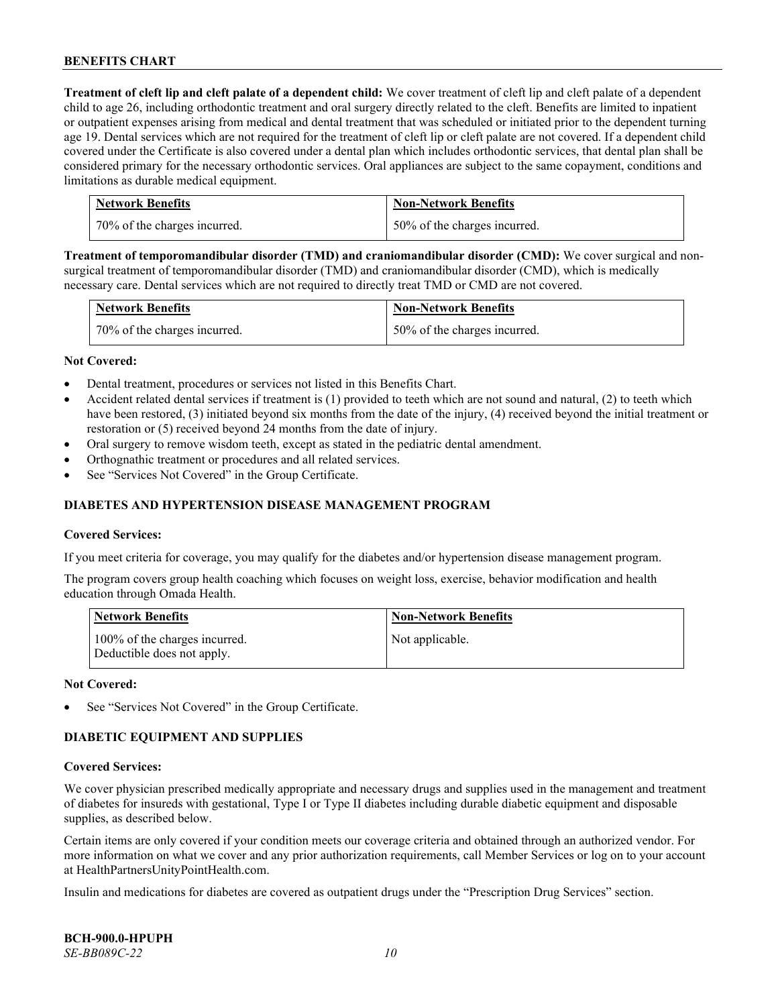**Treatment of cleft lip and cleft palate of a dependent child:** We cover treatment of cleft lip and cleft palate of a dependent child to age 26, including orthodontic treatment and oral surgery directly related to the cleft. Benefits are limited to inpatient or outpatient expenses arising from medical and dental treatment that was scheduled or initiated prior to the dependent turning age 19. Dental services which are not required for the treatment of cleft lip or cleft palate are not covered. If a dependent child covered under the Certificate is also covered under a dental plan which includes orthodontic services, that dental plan shall be considered primary for the necessary orthodontic services. Oral appliances are subject to the same copayment, conditions and limitations as durable medical equipment.

| <b>Network Benefits</b>      | <b>Non-Network Benefits</b>  |
|------------------------------|------------------------------|
| 70% of the charges incurred. | 50% of the charges incurred. |

**Treatment of temporomandibular disorder (TMD) and craniomandibular disorder (CMD):** We cover surgical and nonsurgical treatment of temporomandibular disorder (TMD) and craniomandibular disorder (CMD), which is medically necessary care. Dental services which are not required to directly treat TMD or CMD are not covered.

| <b>Network Benefits</b>      | <b>Non-Network Benefits</b>  |
|------------------------------|------------------------------|
| 70% of the charges incurred. | 50% of the charges incurred. |

#### **Not Covered:**

- Dental treatment, procedures or services not listed in this Benefits Chart.
- Accident related dental services if treatment is (1) provided to teeth which are not sound and natural, (2) to teeth which have been restored, (3) initiated beyond six months from the date of the injury, (4) received beyond the initial treatment or restoration or (5) received beyond 24 months from the date of injury.
- Oral surgery to remove wisdom teeth, except as stated in the pediatric dental amendment.
- Orthognathic treatment or procedures and all related services.
- See "Services Not Covered" in the Group Certificate.

# **DIABETES AND HYPERTENSION DISEASE MANAGEMENT PROGRAM**

#### **Covered Services:**

If you meet criteria for coverage, you may qualify for the diabetes and/or hypertension disease management program.

The program covers group health coaching which focuses on weight loss, exercise, behavior modification and health education through Omada Health.

| <b>Network Benefits</b>                                     | <b>Non-Network Benefits</b> |
|-------------------------------------------------------------|-----------------------------|
| 100% of the charges incurred.<br>Deductible does not apply. | Not applicable.             |

#### **Not Covered:**

See "Services Not Covered" in the Group Certificate.

# **DIABETIC EQUIPMENT AND SUPPLIES**

#### **Covered Services:**

We cover physician prescribed medically appropriate and necessary drugs and supplies used in the management and treatment of diabetes for insureds with gestational, Type I or Type II diabetes including durable diabetic equipment and disposable supplies, as described below.

Certain items are only covered if your condition meets our coverage criteria and obtained through an authorized vendor. For more information on what we cover and any prior authorization requirements, call Member Services or log on to your account at [HealthPartnersUnityPointHealth.com.](https://www.healthpartnersunitypointhealth.com/)

Insulin and medications for diabetes are covered as outpatient drugs under the "Prescription Drug Services" section.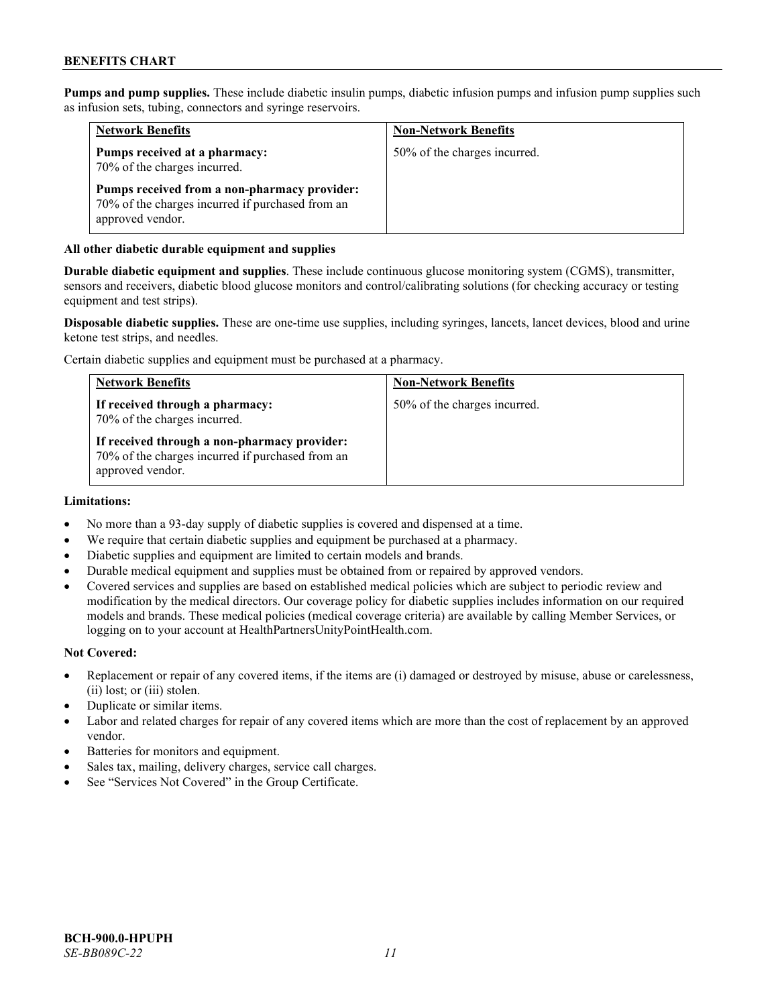**Pumps and pump supplies.** These include diabetic insulin pumps, diabetic infusion pumps and infusion pump supplies such as infusion sets, tubing, connectors and syringe reservoirs.

| <b>Network Benefits</b>                                                                                              | <b>Non-Network Benefits</b>  |
|----------------------------------------------------------------------------------------------------------------------|------------------------------|
| Pumps received at a pharmacy:<br>70% of the charges incurred.                                                        | 50% of the charges incurred. |
| Pumps received from a non-pharmacy provider:<br>70% of the charges incurred if purchased from an<br>approved vendor. |                              |

# **All other diabetic durable equipment and supplies**

**Durable diabetic equipment and supplies**. These include continuous glucose monitoring system (CGMS), transmitter, sensors and receivers, diabetic blood glucose monitors and control/calibrating solutions (for checking accuracy or testing equipment and test strips).

**Disposable diabetic supplies.** These are one-time use supplies, including syringes, lancets, lancet devices, blood and urine ketone test strips, and needles.

Certain diabetic supplies and equipment must be purchased at a pharmacy.

| <b>Network Benefits</b>                                                                                              | <b>Non-Network Benefits</b>  |
|----------------------------------------------------------------------------------------------------------------------|------------------------------|
| If received through a pharmacy:<br>70% of the charges incurred.                                                      | 50% of the charges incurred. |
| If received through a non-pharmacy provider:<br>70% of the charges incurred if purchased from an<br>approved vendor. |                              |

#### **Limitations:**

- No more than a 93-day supply of diabetic supplies is covered and dispensed at a time.
- We require that certain diabetic supplies and equipment be purchased at a pharmacy.
- Diabetic supplies and equipment are limited to certain models and brands.
- Durable medical equipment and supplies must be obtained from or repaired by approved vendors.
- Covered services and supplies are based on established medical policies which are subject to periodic review and modification by the medical directors. Our coverage policy for diabetic supplies includes information on our required models and brands. These medical policies (medical coverage criteria) are available by calling Member Services, or logging on to your account a[t HealthPartnersUnityPointHealth.com.](https://www.healthpartnersunitypointhealth.com/)

#### **Not Covered:**

- Replacement or repair of any covered items, if the items are (i) damaged or destroyed by misuse, abuse or carelessness, (ii) lost; or (iii) stolen.
- Duplicate or similar items.
- Labor and related charges for repair of any covered items which are more than the cost of replacement by an approved vendor.
- Batteries for monitors and equipment.
- Sales tax, mailing, delivery charges, service call charges.
- See "Services Not Covered" in the Group Certificate.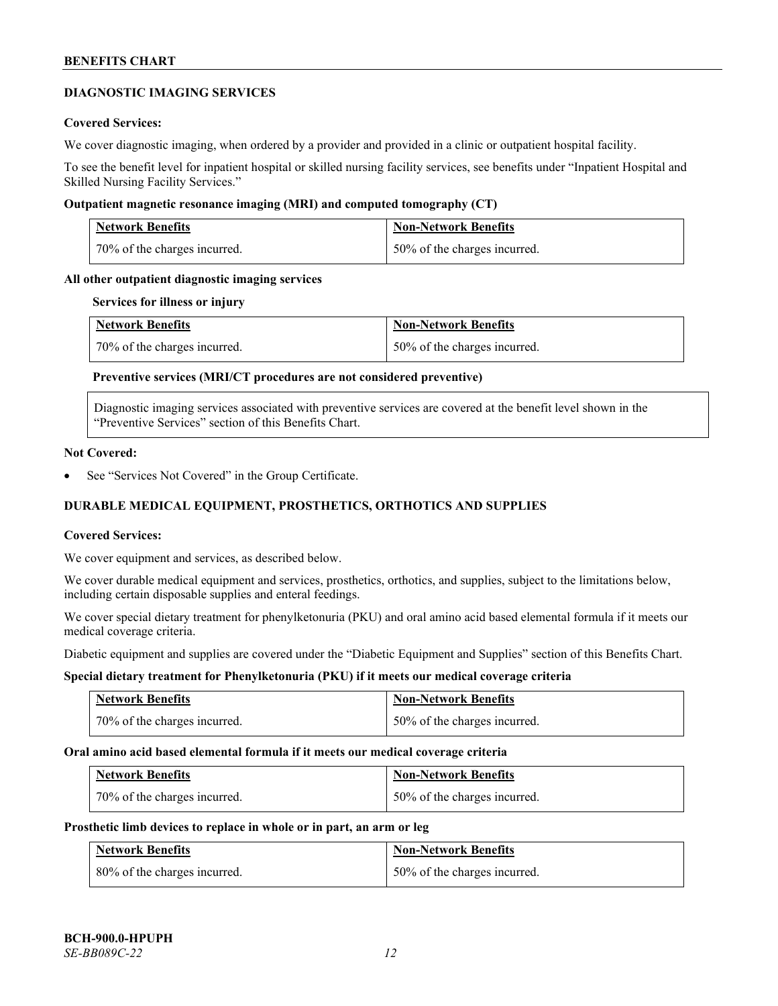# **DIAGNOSTIC IMAGING SERVICES**

### **Covered Services:**

We cover diagnostic imaging, when ordered by a provider and provided in a clinic or outpatient hospital facility.

To see the benefit level for inpatient hospital or skilled nursing facility services, see benefits under "Inpatient Hospital and Skilled Nursing Facility Services."

#### **Outpatient magnetic resonance imaging (MRI) and computed tomography (CT)**

| <b>Network Benefits</b>      | <b>Non-Network Benefits</b>  |
|------------------------------|------------------------------|
| 70% of the charges incurred. | 50% of the charges incurred. |

# **All other outpatient diagnostic imaging services**

#### **Services for illness or injury**

| <b>Network Benefits</b>      | <b>Non-Network Benefits</b>  |
|------------------------------|------------------------------|
| 70% of the charges incurred. | 50% of the charges incurred. |

# **Preventive services (MRI/CT procedures are not considered preventive)**

Diagnostic imaging services associated with preventive services are covered at the benefit level shown in the "Preventive Services" section of this Benefits Chart.

#### **Not Covered:**

See "Services Not Covered" in the Group Certificate.

# **DURABLE MEDICAL EQUIPMENT, PROSTHETICS, ORTHOTICS AND SUPPLIES**

#### **Covered Services:**

We cover equipment and services, as described below.

We cover durable medical equipment and services, prosthetics, orthotics, and supplies, subject to the limitations below, including certain disposable supplies and enteral feedings.

We cover special dietary treatment for phenylketonuria (PKU) and oral amino acid based elemental formula if it meets our medical coverage criteria.

Diabetic equipment and supplies are covered under the "Diabetic Equipment and Supplies" section of this Benefits Chart.

# **Special dietary treatment for Phenylketonuria (PKU) if it meets our medical coverage criteria**

| <b>Network Benefits</b>      | Non-Network Benefits         |
|------------------------------|------------------------------|
| 70% of the charges incurred. | 50% of the charges incurred. |

#### **Oral amino acid based elemental formula if it meets our medical coverage criteria**

| Network Benefits             | <b>Non-Network Benefits</b>  |
|------------------------------|------------------------------|
| 70% of the charges incurred. | 50% of the charges incurred. |

#### **Prosthetic limb devices to replace in whole or in part, an arm or leg**

| <b>Network Benefits</b>      | <b>Non-Network Benefits</b>  |
|------------------------------|------------------------------|
| 80% of the charges incurred. | 50% of the charges incurred. |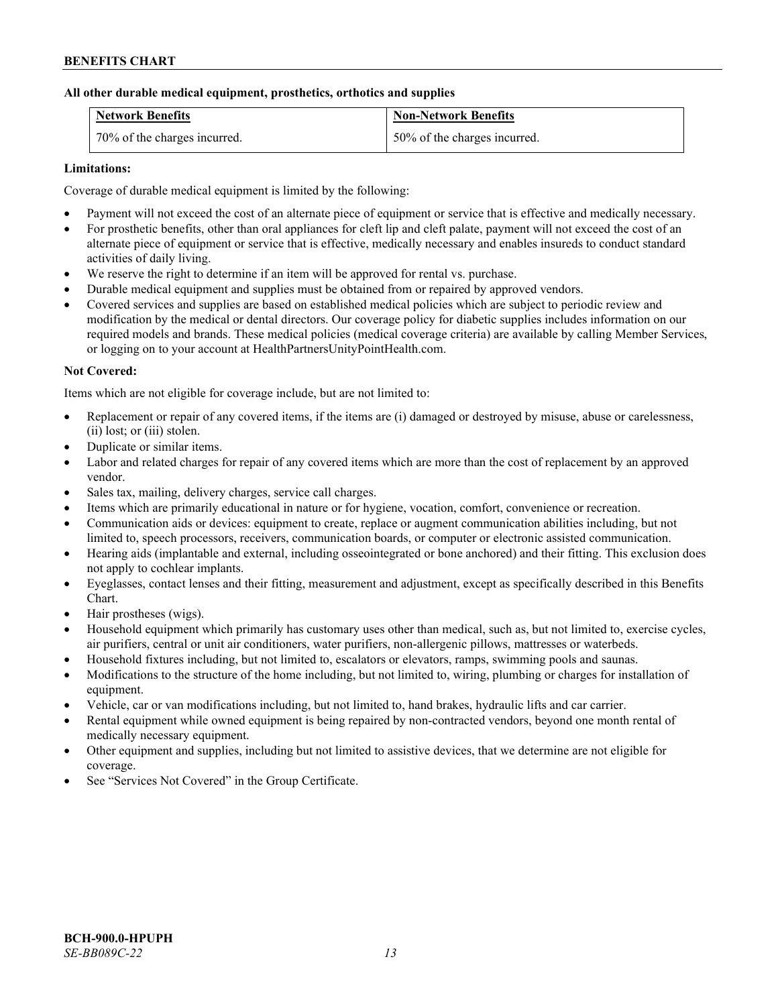# **All other durable medical equipment, prosthetics, orthotics and supplies**

| <b>Network Benefits</b>      | <b>Non-Network Benefits</b>  |
|------------------------------|------------------------------|
| 70% of the charges incurred. | 50% of the charges incurred. |

# **Limitations:**

Coverage of durable medical equipment is limited by the following:

- Payment will not exceed the cost of an alternate piece of equipment or service that is effective and medically necessary.
- For prosthetic benefits, other than oral appliances for cleft lip and cleft palate, payment will not exceed the cost of an alternate piece of equipment or service that is effective, medically necessary and enables insureds to conduct standard activities of daily living.
- We reserve the right to determine if an item will be approved for rental vs. purchase.
- Durable medical equipment and supplies must be obtained from or repaired by approved vendors.
- Covered services and supplies are based on established medical policies which are subject to periodic review and modification by the medical or dental directors. Our coverage policy for diabetic supplies includes information on our required models and brands. These medical policies (medical coverage criteria) are available by calling Member Services, or logging on to your account at [HealthPartnersUnityPointHealth.com.](https://www.healthpartnersunitypointhealth.com/)

#### **Not Covered:**

Items which are not eligible for coverage include, but are not limited to:

- Replacement or repair of any covered items, if the items are (i) damaged or destroyed by misuse, abuse or carelessness, (ii) lost; or (iii) stolen.
- Duplicate or similar items.
- Labor and related charges for repair of any covered items which are more than the cost of replacement by an approved vendor.
- Sales tax, mailing, delivery charges, service call charges.
- Items which are primarily educational in nature or for hygiene, vocation, comfort, convenience or recreation.
- Communication aids or devices: equipment to create, replace or augment communication abilities including, but not limited to, speech processors, receivers, communication boards, or computer or electronic assisted communication.
- Hearing aids (implantable and external, including osseointegrated or bone anchored) and their fitting. This exclusion does not apply to cochlear implants.
- Eyeglasses, contact lenses and their fitting, measurement and adjustment, except as specifically described in this Benefits Chart.
- Hair prostheses (wigs).
- Household equipment which primarily has customary uses other than medical, such as, but not limited to, exercise cycles, air purifiers, central or unit air conditioners, water purifiers, non-allergenic pillows, mattresses or waterbeds.
- Household fixtures including, but not limited to, escalators or elevators, ramps, swimming pools and saunas.
- Modifications to the structure of the home including, but not limited to, wiring, plumbing or charges for installation of equipment.
- Vehicle, car or van modifications including, but not limited to, hand brakes, hydraulic lifts and car carrier.
- Rental equipment while owned equipment is being repaired by non-contracted vendors, beyond one month rental of medically necessary equipment.
- Other equipment and supplies, including but not limited to assistive devices, that we determine are not eligible for coverage.
- See "Services Not Covered" in the Group Certificate.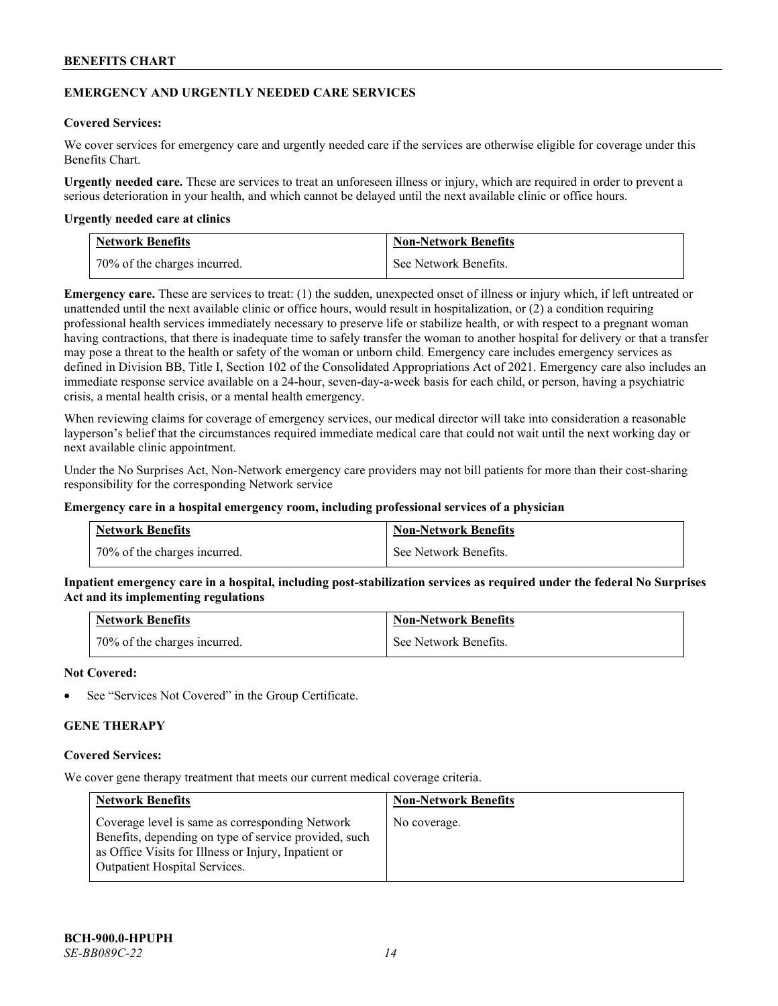# **EMERGENCY AND URGENTLY NEEDED CARE SERVICES**

# **Covered Services:**

We cover services for emergency care and urgently needed care if the services are otherwise eligible for coverage under this Benefits Chart.

**Urgently needed care.** These are services to treat an unforeseen illness or injury, which are required in order to prevent a serious deterioration in your health, and which cannot be delayed until the next available clinic or office hours.

#### **Urgently needed care at clinics**

| <b>Network Benefits</b>        | <b>Non-Network Benefits</b> |
|--------------------------------|-----------------------------|
| 1 70% of the charges incurred. | See Network Benefits.       |

**Emergency care.** These are services to treat: (1) the sudden, unexpected onset of illness or injury which, if left untreated or unattended until the next available clinic or office hours, would result in hospitalization, or (2) a condition requiring professional health services immediately necessary to preserve life or stabilize health, or with respect to a pregnant woman having contractions, that there is inadequate time to safely transfer the woman to another hospital for delivery or that a transfer may pose a threat to the health or safety of the woman or unborn child. Emergency care includes emergency services as defined in Division BB, Title I, Section 102 of the Consolidated Appropriations Act of 2021. Emergency care also includes an immediate response service available on a 24-hour, seven-day-a-week basis for each child, or person, having a psychiatric crisis, a mental health crisis, or a mental health emergency.

When reviewing claims for coverage of emergency services, our medical director will take into consideration a reasonable layperson's belief that the circumstances required immediate medical care that could not wait until the next working day or next available clinic appointment.

Under the No Surprises Act, Non-Network emergency care providers may not bill patients for more than their cost-sharing responsibility for the corresponding Network service

#### **Emergency care in a hospital emergency room, including professional services of a physician**

| <b>Network Benefits</b>      | <b>Non-Network Benefits</b> |
|------------------------------|-----------------------------|
| 70% of the charges incurred. | See Network Benefits.       |

**Inpatient emergency care in a hospital, including post-stabilization services as required under the federal No Surprises Act and its implementing regulations**

| Network Benefits             | <b>Non-Network Benefits</b> |
|------------------------------|-----------------------------|
| 70% of the charges incurred. | See Network Benefits.       |

# **Not Covered:**

See "Services Not Covered" in the Group Certificate.

# **GENE THERAPY**

#### **Covered Services:**

We cover gene therapy treatment that meets our current medical coverage criteria.

| <b>Network Benefits</b>                                                                                                                                                                                  | <b>Non-Network Benefits</b> |
|----------------------------------------------------------------------------------------------------------------------------------------------------------------------------------------------------------|-----------------------------|
| Coverage level is same as corresponding Network<br>Benefits, depending on type of service provided, such<br>as Office Visits for Illness or Injury, Inpatient or<br><b>Outpatient Hospital Services.</b> | No coverage.                |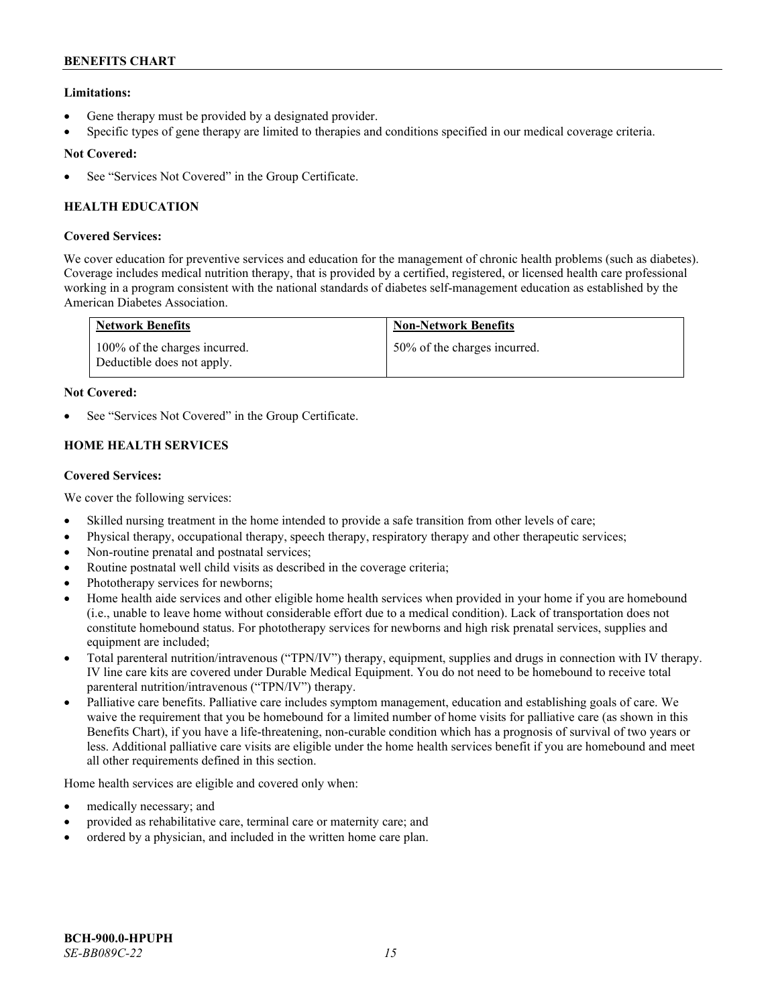# **Limitations:**

- Gene therapy must be provided by a designated provider.
- Specific types of gene therapy are limited to therapies and conditions specified in our medical coverage criteria.

# **Not Covered:**

See "Services Not Covered" in the Group Certificate.

# **HEALTH EDUCATION**

# **Covered Services:**

We cover education for preventive services and education for the management of chronic health problems (such as diabetes). Coverage includes medical nutrition therapy, that is provided by a certified, registered, or licensed health care professional working in a program consistent with the national standards of diabetes self-management education as established by the American Diabetes Association.

| <b>Network Benefits</b>                                     | <b>Non-Network Benefits</b>  |
|-------------------------------------------------------------|------------------------------|
| 100% of the charges incurred.<br>Deductible does not apply. | 50% of the charges incurred. |

# **Not Covered:**

See "Services Not Covered" in the Group Certificate.

# **HOME HEALTH SERVICES**

# **Covered Services:**

We cover the following services:

- Skilled nursing treatment in the home intended to provide a safe transition from other levels of care;
- Physical therapy, occupational therapy, speech therapy, respiratory therapy and other therapeutic services;
- Non-routine prenatal and postnatal services;
- Routine postnatal well child visits as described in the coverage criteria;
- Phototherapy services for newborns;
- Home health aide services and other eligible home health services when provided in your home if you are homebound (i.e., unable to leave home without considerable effort due to a medical condition). Lack of transportation does not constitute homebound status. For phototherapy services for newborns and high risk prenatal services, supplies and equipment are included;
- Total parenteral nutrition/intravenous ("TPN/IV") therapy, equipment, supplies and drugs in connection with IV therapy. IV line care kits are covered under Durable Medical Equipment. You do not need to be homebound to receive total parenteral nutrition/intravenous ("TPN/IV") therapy.
- Palliative care benefits. Palliative care includes symptom management, education and establishing goals of care. We waive the requirement that you be homebound for a limited number of home visits for palliative care (as shown in this Benefits Chart), if you have a life-threatening, non-curable condition which has a prognosis of survival of two years or less. Additional palliative care visits are eligible under the home health services benefit if you are homebound and meet all other requirements defined in this section.

Home health services are eligible and covered only when:

- medically necessary; and
- provided as rehabilitative care, terminal care or maternity care; and
- ordered by a physician, and included in the written home care plan.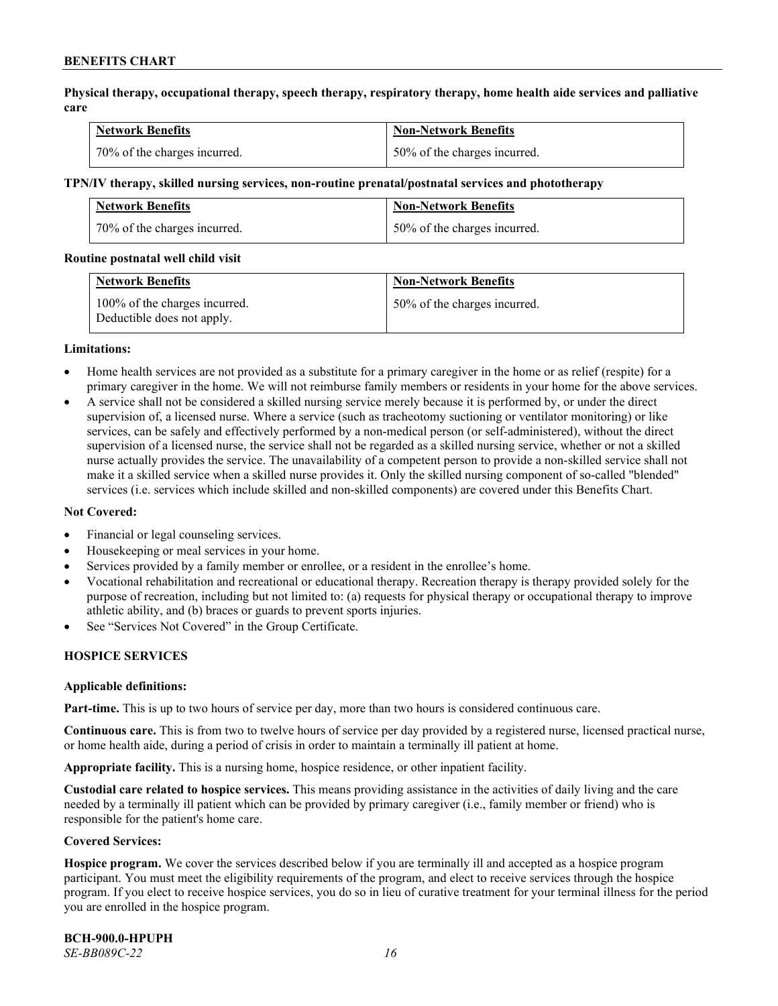**Physical therapy, occupational therapy, speech therapy, respiratory therapy, home health aide services and palliative care**

| <b>Network Benefits</b>      | <b>Non-Network Benefits</b>  |
|------------------------------|------------------------------|
| 70% of the charges incurred. | 50% of the charges incurred. |

#### **TPN/IV therapy, skilled nursing services, non-routine prenatal/postnatal services and phototherapy**

| <b>Network Benefits</b>      | <b>Non-Network Benefits</b>  |
|------------------------------|------------------------------|
| 70% of the charges incurred. | 50% of the charges incurred. |

#### **Routine postnatal well child visit**

| <b>Network Benefits</b>                                     | <b>Non-Network Benefits</b>  |
|-------------------------------------------------------------|------------------------------|
| 100% of the charges incurred.<br>Deductible does not apply. | 50% of the charges incurred. |

#### **Limitations:**

- Home health services are not provided as a substitute for a primary caregiver in the home or as relief (respite) for a primary caregiver in the home. We will not reimburse family members or residents in your home for the above services.
- A service shall not be considered a skilled nursing service merely because it is performed by, or under the direct supervision of, a licensed nurse. Where a service (such as tracheotomy suctioning or ventilator monitoring) or like services, can be safely and effectively performed by a non-medical person (or self-administered), without the direct supervision of a licensed nurse, the service shall not be regarded as a skilled nursing service, whether or not a skilled nurse actually provides the service. The unavailability of a competent person to provide a non-skilled service shall not make it a skilled service when a skilled nurse provides it. Only the skilled nursing component of so-called "blended" services (i.e. services which include skilled and non-skilled components) are covered under this Benefits Chart.

#### **Not Covered:**

- Financial or legal counseling services.
- Housekeeping or meal services in your home.
- Services provided by a family member or enrollee, or a resident in the enrollee's home.
- Vocational rehabilitation and recreational or educational therapy. Recreation therapy is therapy provided solely for the purpose of recreation, including but not limited to: (a) requests for physical therapy or occupational therapy to improve athletic ability, and (b) braces or guards to prevent sports injuries.
- See "Services Not Covered" in the Group Certificate.

# **HOSPICE SERVICES**

#### **Applicable definitions:**

**Part-time.** This is up to two hours of service per day, more than two hours is considered continuous care.

**Continuous care.** This is from two to twelve hours of service per day provided by a registered nurse, licensed practical nurse, or home health aide, during a period of crisis in order to maintain a terminally ill patient at home.

**Appropriate facility.** This is a nursing home, hospice residence, or other inpatient facility.

**Custodial care related to hospice services.** This means providing assistance in the activities of daily living and the care needed by a terminally ill patient which can be provided by primary caregiver (i.e., family member or friend) who is responsible for the patient's home care.

#### **Covered Services:**

**Hospice program.** We cover the services described below if you are terminally ill and accepted as a hospice program participant. You must meet the eligibility requirements of the program, and elect to receive services through the hospice program. If you elect to receive hospice services, you do so in lieu of curative treatment for your terminal illness for the period you are enrolled in the hospice program.

**BCH-900.0-HPUPH** *SE-BB089C-22 16*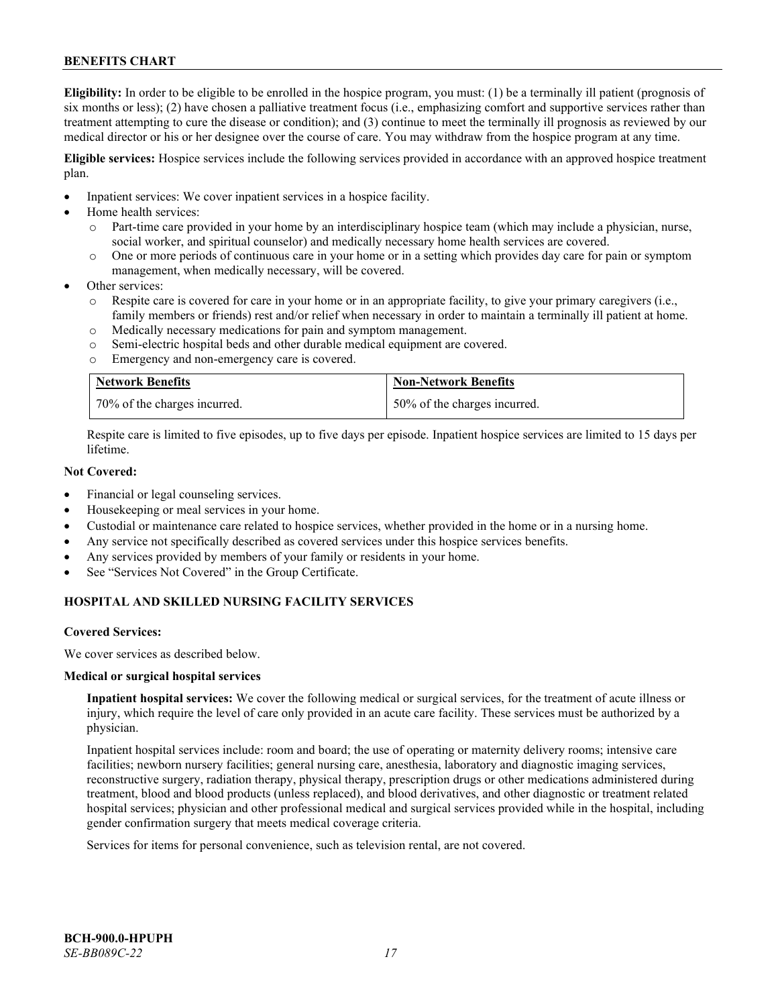**Eligibility:** In order to be eligible to be enrolled in the hospice program, you must: (1) be a terminally ill patient (prognosis of six months or less); (2) have chosen a palliative treatment focus (i.e., emphasizing comfort and supportive services rather than treatment attempting to cure the disease or condition); and (3) continue to meet the terminally ill prognosis as reviewed by our medical director or his or her designee over the course of care. You may withdraw from the hospice program at any time.

**Eligible services:** Hospice services include the following services provided in accordance with an approved hospice treatment plan.

- Inpatient services: We cover inpatient services in a hospice facility.
- Home health services:
	- o Part-time care provided in your home by an interdisciplinary hospice team (which may include a physician, nurse, social worker, and spiritual counselor) and medically necessary home health services are covered.
	- o One or more periods of continuous care in your home or in a setting which provides day care for pain or symptom management, when medically necessary, will be covered.
- Other services:
	- Respite care is covered for care in your home or in an appropriate facility, to give your primary caregivers (i.e., family members or friends) rest and/or relief when necessary in order to maintain a terminally ill patient at home.
	- o Medically necessary medications for pain and symptom management.
	- o Semi-electric hospital beds and other durable medical equipment are covered.
	- o Emergency and non-emergency care is covered.

| <b>Network Benefits</b>      | <b>Non-Network Benefits</b>  |
|------------------------------|------------------------------|
| 70% of the charges incurred. | 50% of the charges incurred. |

Respite care is limited to five episodes, up to five days per episode. Inpatient hospice services are limited to 15 days per lifetime.

# **Not Covered:**

- Financial or legal counseling services.
- Housekeeping or meal services in your home.
- Custodial or maintenance care related to hospice services, whether provided in the home or in a nursing home.
- Any service not specifically described as covered services under this hospice services benefits.
- Any services provided by members of your family or residents in your home.
- See "Services Not Covered" in the Group Certificate.

# **HOSPITAL AND SKILLED NURSING FACILITY SERVICES**

#### **Covered Services:**

We cover services as described below.

#### **Medical or surgical hospital services**

**Inpatient hospital services:** We cover the following medical or surgical services, for the treatment of acute illness or injury, which require the level of care only provided in an acute care facility. These services must be authorized by a physician.

Inpatient hospital services include: room and board; the use of operating or maternity delivery rooms; intensive care facilities; newborn nursery facilities; general nursing care, anesthesia, laboratory and diagnostic imaging services, reconstructive surgery, radiation therapy, physical therapy, prescription drugs or other medications administered during treatment, blood and blood products (unless replaced), and blood derivatives, and other diagnostic or treatment related hospital services; physician and other professional medical and surgical services provided while in the hospital, including gender confirmation surgery that meets medical coverage criteria.

Services for items for personal convenience, such as television rental, are not covered.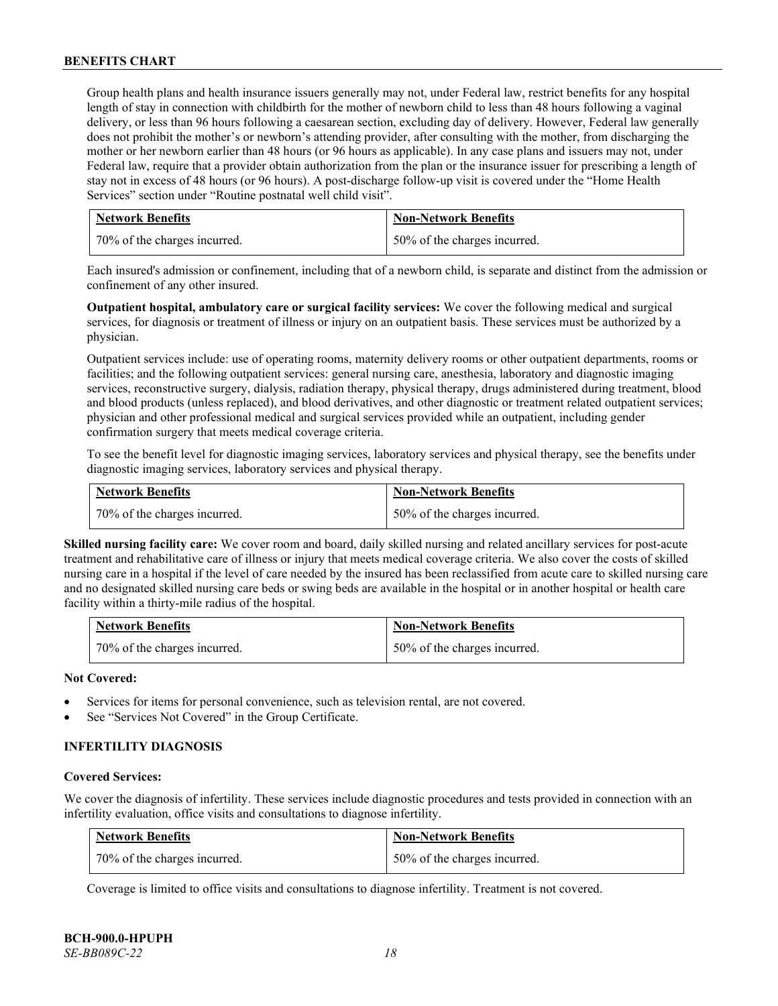Group health plans and health insurance issuers generally may not, under Federal law, restrict benefits for any hospital length of stay in connection with childbirth for the mother of newborn child to less than 48 hours following a vaginal delivery, or less than 96 hours following a caesarean section, excluding day of delivery. However, Federal law generally does not prohibit the mother's or newborn's attending provider, after consulting with the mother, from discharging the mother or her newborn earlier than 48 hours (or 96 hours as applicable). In any case plans and issuers may not, under Federal law, require that a provider obtain authorization from the plan or the insurance issuer for prescribing a length of stay not in excess of 48 hours (or 96 hours). A post-discharge follow-up visit is covered under the "Home Health Services" section under "Routine postnatal well child visit".

| <b>Network Benefits</b>      | <b>Non-Network Benefits</b>  |
|------------------------------|------------------------------|
| 70% of the charges incurred. | 50% of the charges incurred. |

Each insured's admission or confinement, including that of a newborn child, is separate and distinct from the admission or confinement of any other insured.

**Outpatient hospital, ambulatory care or surgical facility services:** We cover the following medical and surgical services, for diagnosis or treatment of illness or injury on an outpatient basis. These services must be authorized by a physician.

Outpatient services include: use of operating rooms, maternity delivery rooms or other outpatient departments, rooms or facilities; and the following outpatient services: general nursing care, anesthesia, laboratory and diagnostic imaging services, reconstructive surgery, dialysis, radiation therapy, physical therapy, drugs administered during treatment, blood and blood products (unless replaced), and blood derivatives, and other diagnostic or treatment related outpatient services; physician and other professional medical and surgical services provided while an outpatient, including gender confirmation surgery that meets medical coverage criteria.

To see the benefit level for diagnostic imaging services, laboratory services and physical therapy, see the benefits under diagnostic imaging services, laboratory services and physical therapy.

| <b>Network Benefits</b>      | <b>Non-Network Benefits</b>  |
|------------------------------|------------------------------|
| 70% of the charges incurred. | 50% of the charges incurred. |

**Skilled nursing facility care:** We cover room and board, daily skilled nursing and related ancillary services for post-acute treatment and rehabilitative care of illness or injury that meets medical coverage criteria. We also cover the costs of skilled nursing care in a hospital if the level of care needed by the insured has been reclassified from acute care to skilled nursing care and no designated skilled nursing care beds or swing beds are available in the hospital or in another hospital or health care facility within a thirty-mile radius of the hospital.

| Network Benefits             | <b>Non-Network Benefits</b>  |
|------------------------------|------------------------------|
| 70% of the charges incurred. | 50% of the charges incurred. |

# **Not Covered:**

- Services for items for personal convenience, such as television rental, are not covered.
- See "Services Not Covered" in the Group Certificate.

# **INFERTILITY DIAGNOSIS**

#### **Covered Services:**

We cover the diagnosis of infertility. These services include diagnostic procedures and tests provided in connection with an infertility evaluation, office visits and consultations to diagnose infertility.

| <b>Network Benefits</b>      | <b>Non-Network Benefits</b>  |
|------------------------------|------------------------------|
| 70% of the charges incurred. | 50% of the charges incurred. |

Coverage is limited to office visits and consultations to diagnose infertility. Treatment is not covered.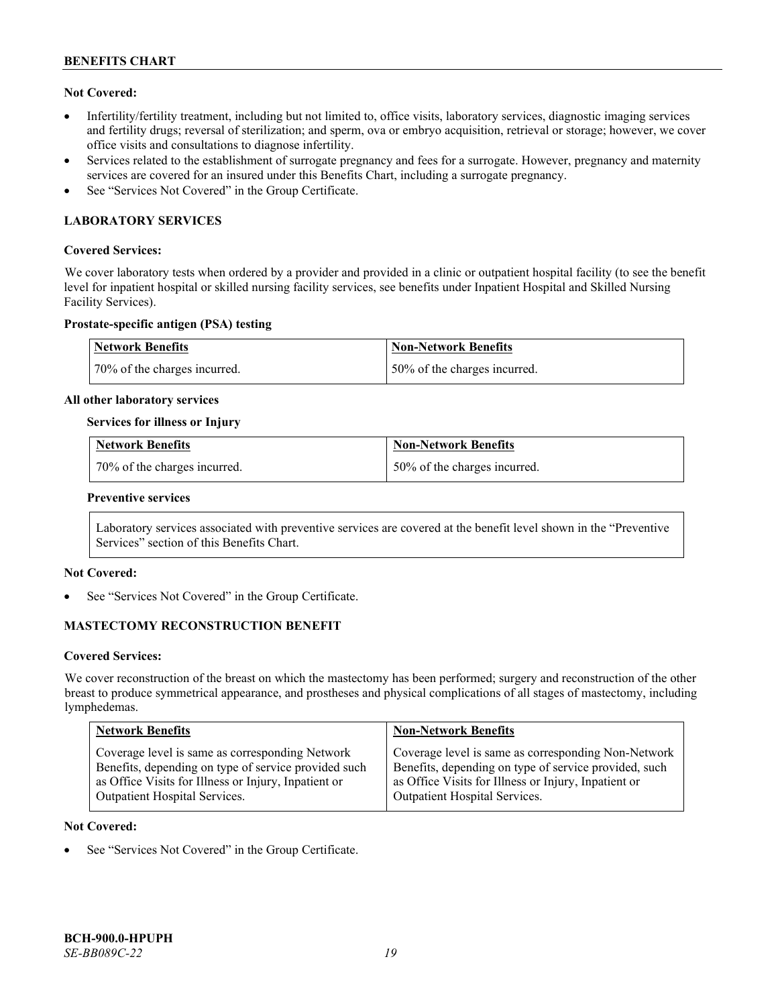# **Not Covered:**

- Infertility/fertility treatment, including but not limited to, office visits, laboratory services, diagnostic imaging services and fertility drugs; reversal of sterilization; and sperm, ova or embryo acquisition, retrieval or storage; however, we cover office visits and consultations to diagnose infertility.
- Services related to the establishment of surrogate pregnancy and fees for a surrogate. However, pregnancy and maternity services are covered for an insured under this Benefits Chart, including a surrogate pregnancy.
- See "Services Not Covered" in the Group Certificate.

# **LABORATORY SERVICES**

## **Covered Services:**

We cover laboratory tests when ordered by a provider and provided in a clinic or outpatient hospital facility (to see the benefit level for inpatient hospital or skilled nursing facility services, see benefits under Inpatient Hospital and Skilled Nursing Facility Services).

#### **Prostate-specific antigen (PSA) testing**

| <b>Network Benefits</b>      | Non-Network Benefits          |
|------------------------------|-------------------------------|
| 70% of the charges incurred. | 150% of the charges incurred. |

#### **All other laboratory services**

#### **Services for illness or Injury**

| Network Benefits             | <b>Non-Network Benefits</b>  |
|------------------------------|------------------------------|
| 70% of the charges incurred. | 50% of the charges incurred. |

#### **Preventive services**

Laboratory services associated with preventive services are covered at the benefit level shown in the "Preventive Services" section of this Benefits Chart.

# **Not Covered:**

See "Services Not Covered" in the Group Certificate.

# **MASTECTOMY RECONSTRUCTION BENEFIT**

#### **Covered Services:**

We cover reconstruction of the breast on which the mastectomy has been performed; surgery and reconstruction of the other breast to produce symmetrical appearance, and prostheses and physical complications of all stages of mastectomy, including lymphedemas.

| <b>Network Benefits</b>                              | <b>Non-Network Benefits</b>                           |
|------------------------------------------------------|-------------------------------------------------------|
| Coverage level is same as corresponding Network      | Coverage level is same as corresponding Non-Network   |
| Benefits, depending on type of service provided such | Benefits, depending on type of service provided, such |
| as Office Visits for Illness or Injury, Inpatient or | as Office Visits for Illness or Injury, Inpatient or  |
| Outpatient Hospital Services.                        | Outpatient Hospital Services.                         |

### **Not Covered:**

See "Services Not Covered" in the Group Certificate.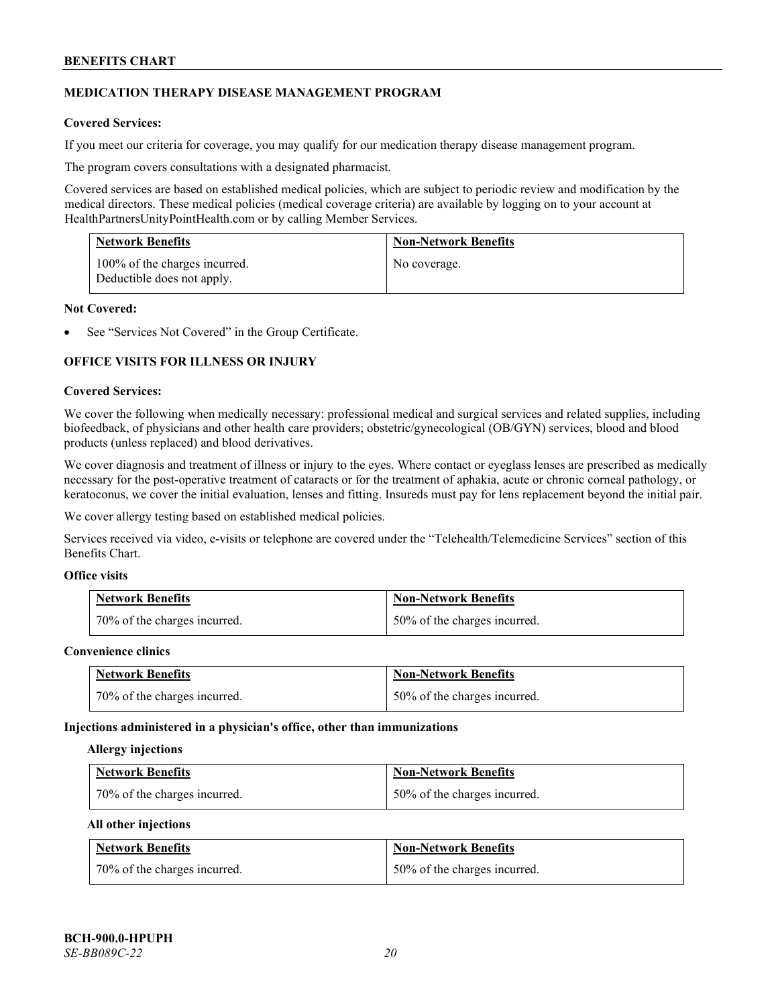# **MEDICATION THERAPY DISEASE MANAGEMENT PROGRAM**

# **Covered Services:**

If you meet our criteria for coverage, you may qualify for our medication therapy disease management program.

The program covers consultations with a designated pharmacist.

Covered services are based on established medical policies, which are subject to periodic review and modification by the medical directors. These medical policies (medical coverage criteria) are available by logging on to your account at [HealthPartnersUnityPointHealth.com](https://www.healthpartnersunitypointhealth.com/) or by calling Member Services.

| <b>Network Benefits</b>                                     | <b>Non-Network Benefits</b> |
|-------------------------------------------------------------|-----------------------------|
| 100% of the charges incurred.<br>Deductible does not apply. | No coverage.                |

# **Not Covered:**

See "Services Not Covered" in the Group Certificate.

# **OFFICE VISITS FOR ILLNESS OR INJURY**

#### **Covered Services:**

We cover the following when medically necessary: professional medical and surgical services and related supplies, including biofeedback, of physicians and other health care providers; obstetric/gynecological (OB/GYN) services, blood and blood products (unless replaced) and blood derivatives.

We cover diagnosis and treatment of illness or injury to the eyes. Where contact or eyeglass lenses are prescribed as medically necessary for the post-operative treatment of cataracts or for the treatment of aphakia, acute or chronic corneal pathology, or keratoconus, we cover the initial evaluation, lenses and fitting. Insureds must pay for lens replacement beyond the initial pair.

We cover allergy testing based on established medical policies.

Services received via video, e-visits or telephone are covered under the "Telehealth/Telemedicine Services" section of this Benefits Chart.

# **Office visits**

| <b>Network Benefits</b>      | <b>Non-Network Benefits</b>  |
|------------------------------|------------------------------|
| 70% of the charges incurred. | 50% of the charges incurred. |

#### **Convenience clinics**

| <b>Network Benefits</b>      | <b>Non-Network Benefits</b>  |
|------------------------------|------------------------------|
| 70% of the charges incurred. | 50% of the charges incurred. |

#### **Injections administered in a physician's office, other than immunizations**

#### **Allergy injections**

| <b>Network Benefits</b>      | <b>Non-Network Benefits</b>  |
|------------------------------|------------------------------|
| 70% of the charges incurred. | 50% of the charges incurred. |

#### **All other injections**

| <b>Network Benefits</b>      | <b>Non-Network Benefits</b>  |
|------------------------------|------------------------------|
| 70% of the charges incurred. | 50% of the charges incurred. |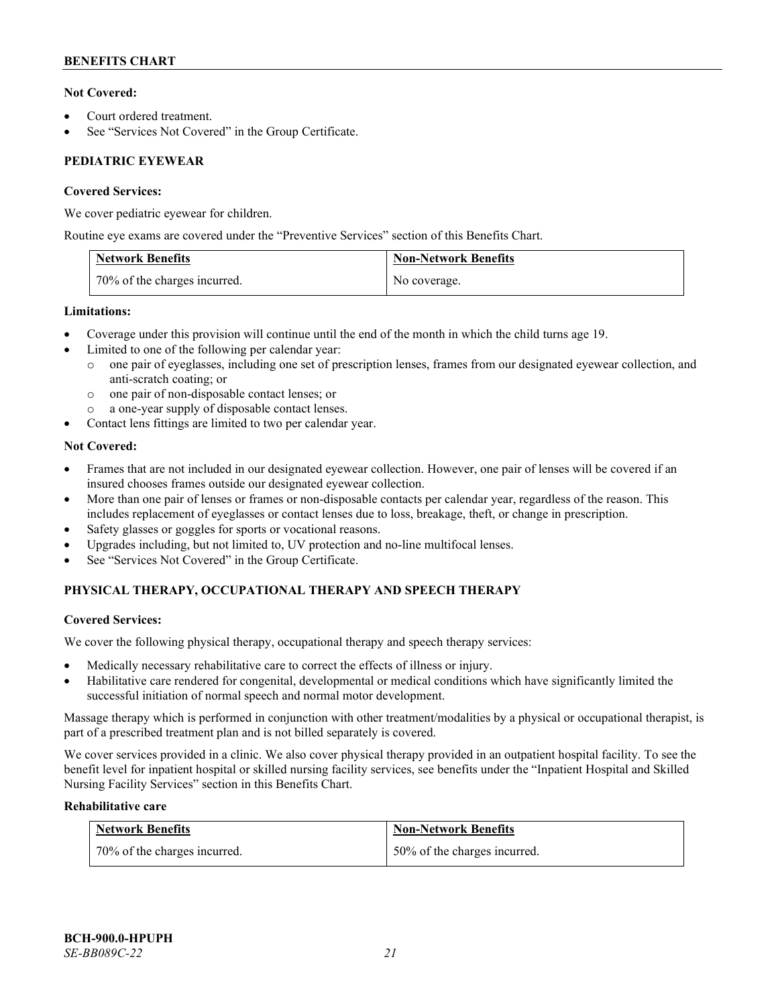# **Not Covered:**

- Court ordered treatment.
- See "Services Not Covered" in the Group Certificate.

# **PEDIATRIC EYEWEAR**

# **Covered Services:**

We cover pediatric eyewear for children.

Routine eye exams are covered under the "Preventive Services" section of this Benefits Chart.

| <b>Network Benefits</b>      | <b>Non-Network Benefits</b> |
|------------------------------|-----------------------------|
| 70% of the charges incurred. | No coverage.                |

# **Limitations:**

- Coverage under this provision will continue until the end of the month in which the child turns age 19.
- Limited to one of the following per calendar year:
	- o one pair of eyeglasses, including one set of prescription lenses, frames from our designated eyewear collection, and anti-scratch coating; or
	- o one pair of non-disposable contact lenses; or
	- a one-year supply of disposable contact lenses.
- Contact lens fittings are limited to two per calendar year.

# **Not Covered:**

- Frames that are not included in our designated eyewear collection. However, one pair of lenses will be covered if an insured chooses frames outside our designated eyewear collection.
- More than one pair of lenses or frames or non-disposable contacts per calendar year, regardless of the reason. This includes replacement of eyeglasses or contact lenses due to loss, breakage, theft, or change in prescription.
- Safety glasses or goggles for sports or vocational reasons.
- Upgrades including, but not limited to, UV protection and no-line multifocal lenses.
- See "Services Not Covered" in the Group Certificate.

# **PHYSICAL THERAPY, OCCUPATIONAL THERAPY AND SPEECH THERAPY**

# **Covered Services:**

We cover the following physical therapy, occupational therapy and speech therapy services:

- Medically necessary rehabilitative care to correct the effects of illness or injury.
- Habilitative care rendered for congenital, developmental or medical conditions which have significantly limited the successful initiation of normal speech and normal motor development.

Massage therapy which is performed in conjunction with other treatment/modalities by a physical or occupational therapist, is part of a prescribed treatment plan and is not billed separately is covered.

We cover services provided in a clinic. We also cover physical therapy provided in an outpatient hospital facility. To see the benefit level for inpatient hospital or skilled nursing facility services, see benefits under the "Inpatient Hospital and Skilled Nursing Facility Services" section in this Benefits Chart.

# **Rehabilitative care**

| <b>Network Benefits</b>      | <b>Non-Network Benefits</b>  |
|------------------------------|------------------------------|
| 70% of the charges incurred. | 50% of the charges incurred. |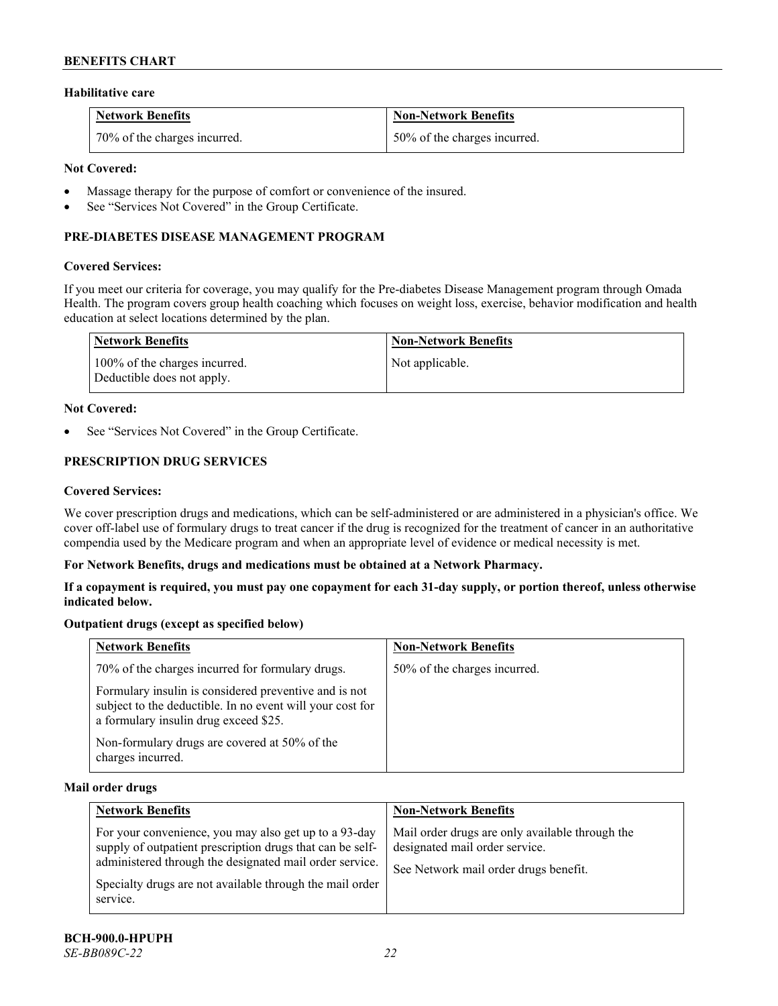## **Habilitative care**

| <b>Network Benefits</b>      | Non-Network Benefits         |
|------------------------------|------------------------------|
| 70% of the charges incurred. | 50% of the charges incurred. |

# **Not Covered:**

- Massage therapy for the purpose of comfort or convenience of the insured.
- See "Services Not Covered" in the Group Certificate.

# **PRE-DIABETES DISEASE MANAGEMENT PROGRAM**

#### **Covered Services:**

If you meet our criteria for coverage, you may qualify for the Pre-diabetes Disease Management program through Omada Health. The program covers group health coaching which focuses on weight loss, exercise, behavior modification and health education at select locations determined by the plan.

| Network Benefits                                            | <b>Non-Network Benefits</b> |
|-------------------------------------------------------------|-----------------------------|
| 100% of the charges incurred.<br>Deductible does not apply. | Not applicable.             |

#### **Not Covered:**

See "Services Not Covered" in the Group Certificate.

# **PRESCRIPTION DRUG SERVICES**

#### **Covered Services:**

We cover prescription drugs and medications, which can be self-administered or are administered in a physician's office. We cover off-label use of formulary drugs to treat cancer if the drug is recognized for the treatment of cancer in an authoritative compendia used by the Medicare program and when an appropriate level of evidence or medical necessity is met.

# **For Network Benefits, drugs and medications must be obtained at a Network Pharmacy.**

**If a copayment is required, you must pay one copayment for each 31-day supply, or portion thereof, unless otherwise indicated below.**

# **Outpatient drugs (except as specified below)**

| <b>Network Benefits</b>                                                                                                                                     | <b>Non-Network Benefits</b>  |
|-------------------------------------------------------------------------------------------------------------------------------------------------------------|------------------------------|
| 70% of the charges incurred for formulary drugs.                                                                                                            | 50% of the charges incurred. |
| Formulary insulin is considered preventive and is not<br>subject to the deductible. In no event will your cost for<br>a formulary insulin drug exceed \$25. |                              |
| Non-formulary drugs are covered at 50% of the<br>charges incurred.                                                                                          |                              |

#### **Mail order drugs**

| <b>Network Benefits</b>                                                                                                                                                                                                                               | <b>Non-Network Benefits</b>                                                                                                |
|-------------------------------------------------------------------------------------------------------------------------------------------------------------------------------------------------------------------------------------------------------|----------------------------------------------------------------------------------------------------------------------------|
| For your convenience, you may also get up to a 93-day<br>supply of outpatient prescription drugs that can be self-<br>administered through the designated mail order service.<br>Specialty drugs are not available through the mail order<br>service. | Mail order drugs are only available through the<br>designated mail order service.<br>See Network mail order drugs benefit. |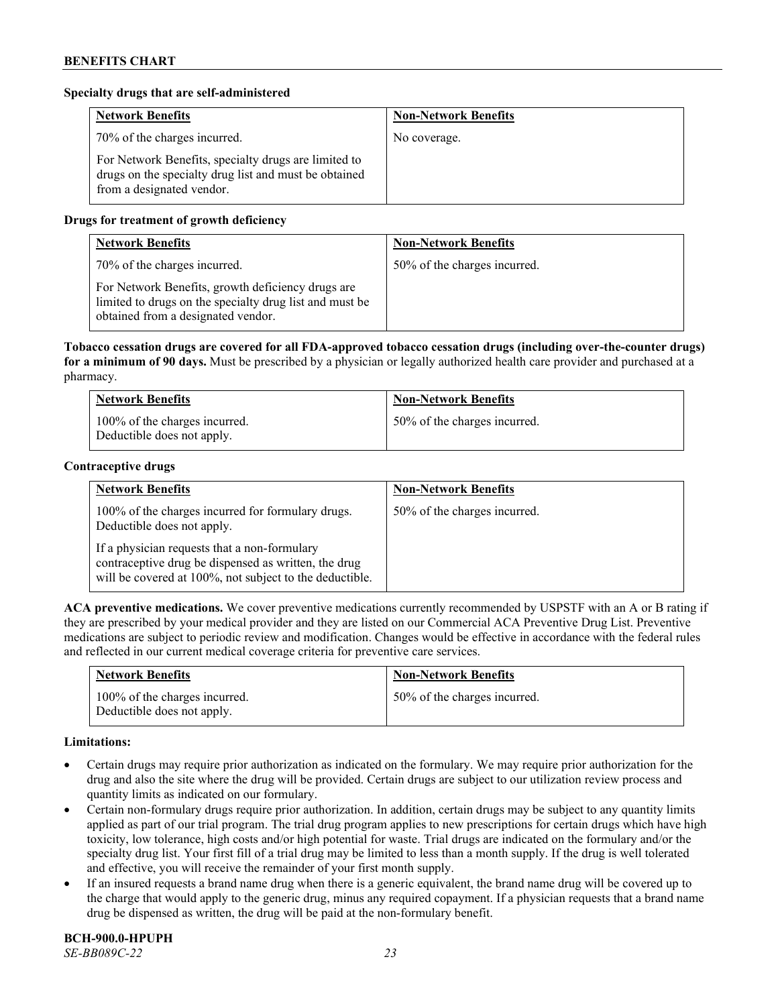# **Specialty drugs that are self-administered**

| <b>Network Benefits</b>                                                                                                                    | <b>Non-Network Benefits</b> |
|--------------------------------------------------------------------------------------------------------------------------------------------|-----------------------------|
| 70% of the charges incurred.                                                                                                               | No coverage.                |
| For Network Benefits, specialty drugs are limited to<br>drugs on the specialty drug list and must be obtained<br>from a designated vendor. |                             |

# **Drugs for treatment of growth deficiency**

| <b>Network Benefits</b>                                                                                                                            | <b>Non-Network Benefits</b>  |
|----------------------------------------------------------------------------------------------------------------------------------------------------|------------------------------|
| 70% of the charges incurred.                                                                                                                       | 50% of the charges incurred. |
| For Network Benefits, growth deficiency drugs are<br>limited to drugs on the specialty drug list and must be<br>obtained from a designated vendor. |                              |

**Tobacco cessation drugs are covered for all FDA-approved tobacco cessation drugs (including over-the-counter drugs) for a minimum of 90 days.** Must be prescribed by a physician or legally authorized health care provider and purchased at a pharmacy.

| <b>Network Benefits</b>                                     | <b>Non-Network Benefits</b>  |
|-------------------------------------------------------------|------------------------------|
| 100% of the charges incurred.<br>Deductible does not apply. | 50% of the charges incurred. |

#### **Contraceptive drugs**

| <b>Network Benefits</b>                                                                                                                                         | <b>Non-Network Benefits</b>  |
|-----------------------------------------------------------------------------------------------------------------------------------------------------------------|------------------------------|
| 100% of the charges incurred for formulary drugs.<br>Deductible does not apply.                                                                                 | 50% of the charges incurred. |
| If a physician requests that a non-formulary<br>contraceptive drug be dispensed as written, the drug<br>will be covered at 100%, not subject to the deductible. |                              |

**ACA preventive medications.** We cover preventive medications currently recommended by USPSTF with an A or B rating if they are prescribed by your medical provider and they are listed on our Commercial ACA Preventive Drug List. Preventive medications are subject to periodic review and modification. Changes would be effective in accordance with the federal rules and reflected in our current medical coverage criteria for preventive care services.

| <b>Network Benefits</b>                                     | <b>Non-Network Benefits</b>  |
|-------------------------------------------------------------|------------------------------|
| 100% of the charges incurred.<br>Deductible does not apply. | 50% of the charges incurred. |

# **Limitations:**

- Certain drugs may require prior authorization as indicated on the formulary. We may require prior authorization for the drug and also the site where the drug will be provided. Certain drugs are subject to our utilization review process and quantity limits as indicated on our formulary.
- Certain non-formulary drugs require prior authorization. In addition, certain drugs may be subject to any quantity limits applied as part of our trial program. The trial drug program applies to new prescriptions for certain drugs which have high toxicity, low tolerance, high costs and/or high potential for waste. Trial drugs are indicated on the formulary and/or the specialty drug list. Your first fill of a trial drug may be limited to less than a month supply. If the drug is well tolerated and effective, you will receive the remainder of your first month supply.
- If an insured requests a brand name drug when there is a generic equivalent, the brand name drug will be covered up to the charge that would apply to the generic drug, minus any required copayment. If a physician requests that a brand name drug be dispensed as written, the drug will be paid at the non-formulary benefit.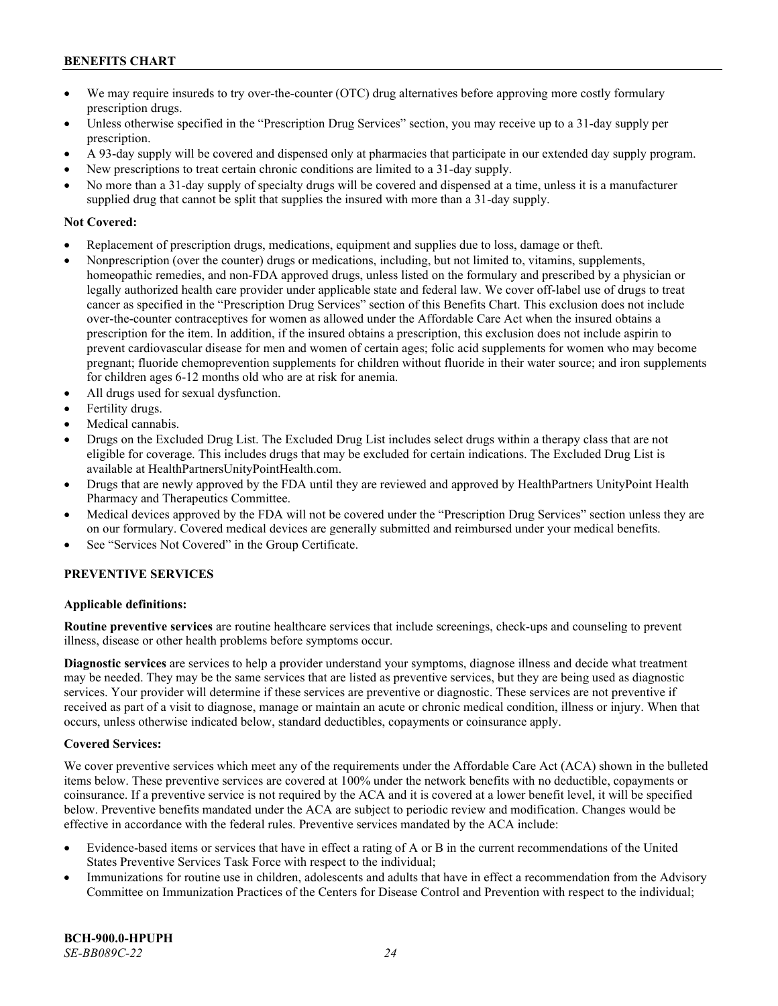- We may require insureds to try over-the-counter (OTC) drug alternatives before approving more costly formulary prescription drugs.
- Unless otherwise specified in the "Prescription Drug Services" section, you may receive up to a 31-day supply per prescription.
- A 93-day supply will be covered and dispensed only at pharmacies that participate in our extended day supply program.
- New prescriptions to treat certain chronic conditions are limited to a 31-day supply.
- No more than a 31-day supply of specialty drugs will be covered and dispensed at a time, unless it is a manufacturer supplied drug that cannot be split that supplies the insured with more than a 31-day supply.

# **Not Covered:**

- Replacement of prescription drugs, medications, equipment and supplies due to loss, damage or theft.
- Nonprescription (over the counter) drugs or medications, including, but not limited to, vitamins, supplements, homeopathic remedies, and non-FDA approved drugs, unless listed on the formulary and prescribed by a physician or legally authorized health care provider under applicable state and federal law. We cover off-label use of drugs to treat cancer as specified in the "Prescription Drug Services" section of this Benefits Chart. This exclusion does not include over-the-counter contraceptives for women as allowed under the Affordable Care Act when the insured obtains a prescription for the item. In addition, if the insured obtains a prescription, this exclusion does not include aspirin to prevent cardiovascular disease for men and women of certain ages; folic acid supplements for women who may become pregnant; fluoride chemoprevention supplements for children without fluoride in their water source; and iron supplements for children ages 6-12 months old who are at risk for anemia.
- All drugs used for sexual dysfunction.
- Fertility drugs.
- Medical cannabis.
- Drugs on the Excluded Drug List. The Excluded Drug List includes select drugs within a therapy class that are not eligible for coverage. This includes drugs that may be excluded for certain indications. The Excluded Drug List is available a[t HealthPartnersUnityPointHealth.com.](https://www.healthpartnersunitypointhealth.com/)
- Drugs that are newly approved by the FDA until they are reviewed and approved by HealthPartners UnityPoint Health Pharmacy and Therapeutics Committee.
- Medical devices approved by the FDA will not be covered under the "Prescription Drug Services" section unless they are on our formulary. Covered medical devices are generally submitted and reimbursed under your medical benefits.
- See "Services Not Covered" in the Group Certificate.

# **PREVENTIVE SERVICES**

# **Applicable definitions:**

**Routine preventive services** are routine healthcare services that include screenings, check-ups and counseling to prevent illness, disease or other health problems before symptoms occur.

**Diagnostic services** are services to help a provider understand your symptoms, diagnose illness and decide what treatment may be needed. They may be the same services that are listed as preventive services, but they are being used as diagnostic services. Your provider will determine if these services are preventive or diagnostic. These services are not preventive if received as part of a visit to diagnose, manage or maintain an acute or chronic medical condition, illness or injury. When that occurs, unless otherwise indicated below, standard deductibles, copayments or coinsurance apply.

# **Covered Services:**

We cover preventive services which meet any of the requirements under the Affordable Care Act (ACA) shown in the bulleted items below. These preventive services are covered at 100% under the network benefits with no deductible, copayments or coinsurance. If a preventive service is not required by the ACA and it is covered at a lower benefit level, it will be specified below. Preventive benefits mandated under the ACA are subject to periodic review and modification. Changes would be effective in accordance with the federal rules. Preventive services mandated by the ACA include:

- Evidence-based items or services that have in effect a rating of A or B in the current recommendations of the United States Preventive Services Task Force with respect to the individual;
- Immunizations for routine use in children, adolescents and adults that have in effect a recommendation from the Advisory Committee on Immunization Practices of the Centers for Disease Control and Prevention with respect to the individual;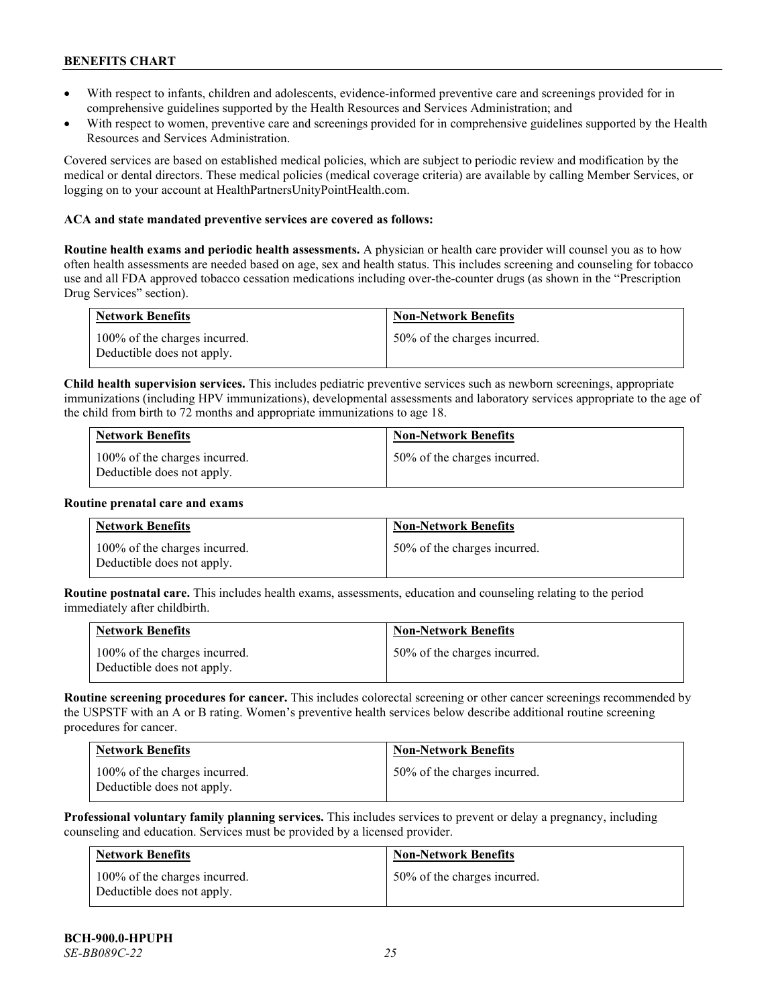- With respect to infants, children and adolescents, evidence-informed preventive care and screenings provided for in comprehensive guidelines supported by the Health Resources and Services Administration; and
- With respect to women, preventive care and screenings provided for in comprehensive guidelines supported by the Health Resources and Services Administration.

Covered services are based on established medical policies, which are subject to periodic review and modification by the medical or dental directors. These medical policies (medical coverage criteria) are available by calling Member Services, or logging on to your account at [HealthPartnersUnityPointHealth.com.](https://www.healthpartnersunitypointhealth.com/)

# **ACA and state mandated preventive services are covered as follows:**

**Routine health exams and periodic health assessments.** A physician or health care provider will counsel you as to how often health assessments are needed based on age, sex and health status. This includes screening and counseling for tobacco use and all FDA approved tobacco cessation medications including over-the-counter drugs (as shown in the "Prescription Drug Services" section).

| <b>Network Benefits</b>                                     | <b>Non-Network Benefits</b>  |
|-------------------------------------------------------------|------------------------------|
| 100% of the charges incurred.<br>Deductible does not apply. | 50% of the charges incurred. |

**Child health supervision services.** This includes pediatric preventive services such as newborn screenings, appropriate immunizations (including HPV immunizations), developmental assessments and laboratory services appropriate to the age of the child from birth to 72 months and appropriate immunizations to age 18.

| <b>Network Benefits</b>                                     | <b>Non-Network Benefits</b>  |
|-------------------------------------------------------------|------------------------------|
| 100% of the charges incurred.<br>Deductible does not apply. | 50% of the charges incurred. |

#### **Routine prenatal care and exams**

| <b>Network Benefits</b>                                     | <b>Non-Network Benefits</b>  |
|-------------------------------------------------------------|------------------------------|
| 100% of the charges incurred.<br>Deductible does not apply. | 50% of the charges incurred. |

**Routine postnatal care.** This includes health exams, assessments, education and counseling relating to the period immediately after childbirth.

| <b>Network Benefits</b>                                     | <b>Non-Network Benefits</b>  |
|-------------------------------------------------------------|------------------------------|
| 100% of the charges incurred.<br>Deductible does not apply. | 50% of the charges incurred. |

**Routine screening procedures for cancer.** This includes colorectal screening or other cancer screenings recommended by the USPSTF with an A or B rating. Women's preventive health services below describe additional routine screening procedures for cancer.

| <b>Network Benefits</b>                                     | <b>Non-Network Benefits</b>  |
|-------------------------------------------------------------|------------------------------|
| 100% of the charges incurred.<br>Deductible does not apply. | 50% of the charges incurred. |

**Professional voluntary family planning services.** This includes services to prevent or delay a pregnancy, including counseling and education. Services must be provided by a licensed provider.

| Network Benefits                                            | <b>Non-Network Benefits</b>  |
|-------------------------------------------------------------|------------------------------|
| 100% of the charges incurred.<br>Deductible does not apply. | 50% of the charges incurred. |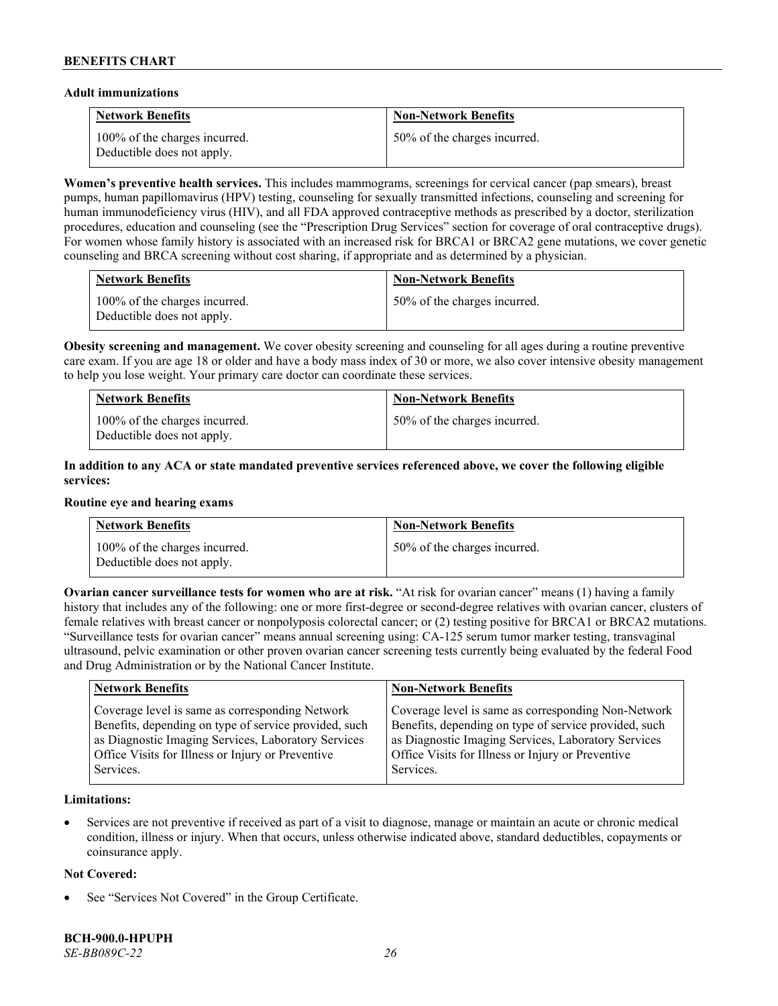#### **Adult immunizations**

| <b>Network Benefits</b>                                     | <b>Non-Network Benefits</b>  |
|-------------------------------------------------------------|------------------------------|
| 100% of the charges incurred.<br>Deductible does not apply. | 50% of the charges incurred. |

**Women's preventive health services.** This includes mammograms, screenings for cervical cancer (pap smears), breast pumps, human papillomavirus (HPV) testing, counseling for sexually transmitted infections, counseling and screening for human immunodeficiency virus (HIV), and all FDA approved contraceptive methods as prescribed by a doctor, sterilization procedures, education and counseling (see the "Prescription Drug Services" section for coverage of oral contraceptive drugs). For women whose family history is associated with an increased risk for BRCA1 or BRCA2 gene mutations, we cover genetic counseling and BRCA screening without cost sharing, if appropriate and as determined by a physician.

| <b>Network Benefits</b>                                     | <b>Non-Network Benefits</b>  |
|-------------------------------------------------------------|------------------------------|
| 100% of the charges incurred.<br>Deductible does not apply. | 50% of the charges incurred. |

**Obesity screening and management.** We cover obesity screening and counseling for all ages during a routine preventive care exam. If you are age 18 or older and have a body mass index of 30 or more, we also cover intensive obesity management to help you lose weight. Your primary care doctor can coordinate these services.

| <b>Network Benefits</b>                                     | <b>Non-Network Benefits</b>  |
|-------------------------------------------------------------|------------------------------|
| 100% of the charges incurred.<br>Deductible does not apply. | 50% of the charges incurred. |

# **In addition to any ACA or state mandated preventive services referenced above, we cover the following eligible services:**

#### **Routine eye and hearing exams**

| <b>Network Benefits</b>                                     | <b>Non-Network Benefits</b>  |
|-------------------------------------------------------------|------------------------------|
| 100% of the charges incurred.<br>Deductible does not apply. | 50% of the charges incurred. |

**Ovarian cancer surveillance tests for women who are at risk. "At risk for ovarian cancer" means (1) having a family** history that includes any of the following: one or more first-degree or second-degree relatives with ovarian cancer, clusters of female relatives with breast cancer or nonpolyposis colorectal cancer; or (2) testing positive for BRCA1 or BRCA2 mutations. "Surveillance tests for ovarian cancer" means annual screening using: CA-125 serum tumor marker testing, transvaginal ultrasound, pelvic examination or other proven ovarian cancer screening tests currently being evaluated by the federal Food and Drug Administration or by the National Cancer Institute.

| <b>Network Benefits</b>                               | <b>Non-Network Benefits</b>                           |
|-------------------------------------------------------|-------------------------------------------------------|
| Coverage level is same as corresponding Network       | Coverage level is same as corresponding Non-Network   |
| Benefits, depending on type of service provided, such | Benefits, depending on type of service provided, such |
| as Diagnostic Imaging Services, Laboratory Services   | as Diagnostic Imaging Services, Laboratory Services   |
| Office Visits for Illness or Injury or Preventive     | Office Visits for Illness or Injury or Preventive     |
| Services.                                             | Services.                                             |

# **Limitations:**

• Services are not preventive if received as part of a visit to diagnose, manage or maintain an acute or chronic medical condition, illness or injury. When that occurs, unless otherwise indicated above, standard deductibles, copayments or coinsurance apply.

# **Not Covered:**

See "Services Not Covered" in the Group Certificate.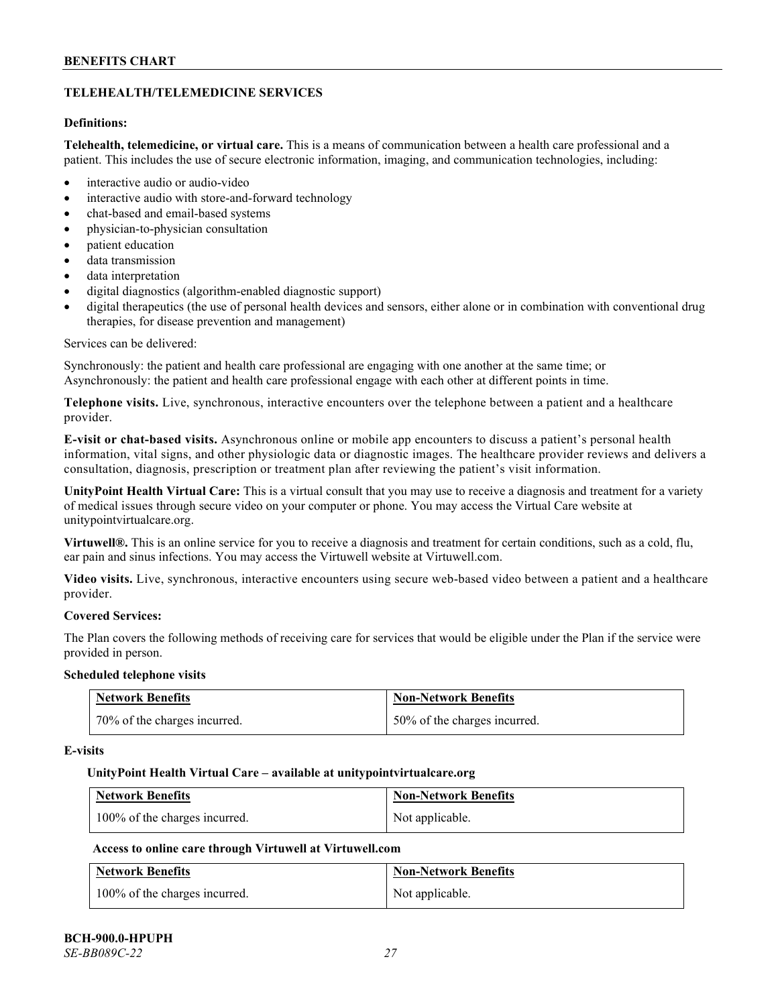# **TELEHEALTH/TELEMEDICINE SERVICES**

# **Definitions:**

**Telehealth, telemedicine, or virtual care.** This is a means of communication between a health care professional and a patient. This includes the use of secure electronic information, imaging, and communication technologies, including:

- interactive audio or audio-video
- interactive audio with store-and-forward technology
- chat-based and email-based systems
- physician-to-physician consultation
- patient education
- data transmission
- data interpretation
- digital diagnostics (algorithm-enabled diagnostic support)
- digital therapeutics (the use of personal health devices and sensors, either alone or in combination with conventional drug therapies, for disease prevention and management)

#### Services can be delivered:

Synchronously: the patient and health care professional are engaging with one another at the same time; or Asynchronously: the patient and health care professional engage with each other at different points in time.

**Telephone visits.** Live, synchronous, interactive encounters over the telephone between a patient and a healthcare provider.

**E-visit or chat-based visits.** Asynchronous online or mobile app encounters to discuss a patient's personal health information, vital signs, and other physiologic data or diagnostic images. The healthcare provider reviews and delivers a consultation, diagnosis, prescription or treatment plan after reviewing the patient's visit information.

**UnityPoint Health Virtual Care:** This is a virtual consult that you may use to receive a diagnosis and treatment for a variety of medical issues through secure video on your computer or phone. You may access the Virtual Care website at [unitypointvirtualcare.org.](https://unitypointvirtualcare.org/landing.htm)

**Virtuwell®.** This is an online service for you to receive a diagnosis and treatment for certain conditions, such as a cold, flu, ear pain and sinus infections. You may access the Virtuwell website at [Virtuwell.com.](https://www.virtuwell.com/)

**Video visits.** Live, synchronous, interactive encounters using secure web-based video between a patient and a healthcare provider.

# **Covered Services:**

The Plan covers the following methods of receiving care for services that would be eligible under the Plan if the service were provided in person.

#### **Scheduled telephone visits**

| <b>Network Benefits</b>      | <b>Non-Network Benefits</b>  |
|------------------------------|------------------------------|
| 70% of the charges incurred. | 50% of the charges incurred. |

#### **E-visits**

#### **UnityPoint Health Virtual Care – available a[t unitypointvirtualcare.org](http://www.unitypointvirtualcare.org/)**

| <b>Network Benefits</b>       | <b>Non-Network Benefits</b> |
|-------------------------------|-----------------------------|
| 100% of the charges incurred. | Not applicable.             |

# **Access to online care through Virtuwell at [Virtuwell.com](http://www.virtuwell.com/)**

| <b>Network Benefits</b>       | <b>Non-Network Benefits</b> |
|-------------------------------|-----------------------------|
| 100% of the charges incurred. | Not applicable.             |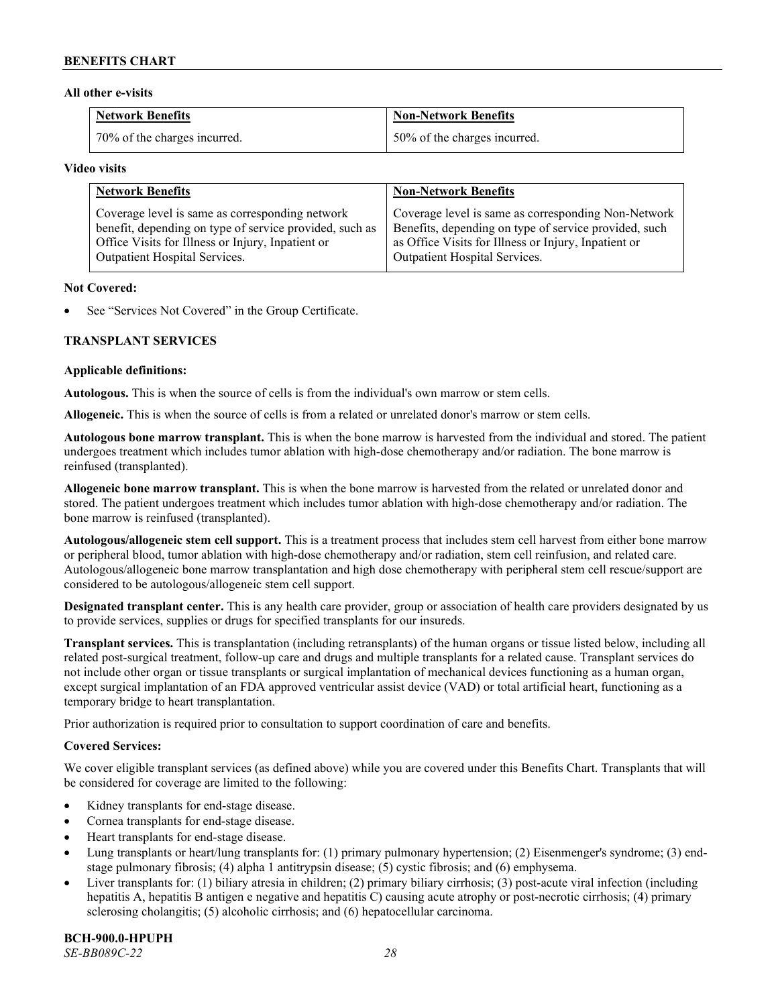## **All other e-visits**

| Network Benefits             | <b>Non-Network Benefits</b>  |
|------------------------------|------------------------------|
| 70% of the charges incurred. | 50% of the charges incurred. |

#### **Video visits**

| <b>Network Benefits</b>                                 | <b>Non-Network Benefits</b>                           |
|---------------------------------------------------------|-------------------------------------------------------|
| Coverage level is same as corresponding network         | Coverage level is same as corresponding Non-Network   |
| benefit, depending on type of service provided, such as | Benefits, depending on type of service provided, such |
| Office Visits for Illness or Injury, Inpatient or       | as Office Visits for Illness or Injury, Inpatient or  |
| Outpatient Hospital Services.                           | Outpatient Hospital Services.                         |

#### **Not Covered:**

See "Services Not Covered" in the Group Certificate.

# **TRANSPLANT SERVICES**

#### **Applicable definitions:**

**Autologous.** This is when the source of cells is from the individual's own marrow or stem cells.

**Allogeneic.** This is when the source of cells is from a related or unrelated donor's marrow or stem cells.

**Autologous bone marrow transplant.** This is when the bone marrow is harvested from the individual and stored. The patient undergoes treatment which includes tumor ablation with high-dose chemotherapy and/or radiation. The bone marrow is reinfused (transplanted).

**Allogeneic bone marrow transplant.** This is when the bone marrow is harvested from the related or unrelated donor and stored. The patient undergoes treatment which includes tumor ablation with high-dose chemotherapy and/or radiation. The bone marrow is reinfused (transplanted).

**Autologous/allogeneic stem cell support.** This is a treatment process that includes stem cell harvest from either bone marrow or peripheral blood, tumor ablation with high-dose chemotherapy and/or radiation, stem cell reinfusion, and related care. Autologous/allogeneic bone marrow transplantation and high dose chemotherapy with peripheral stem cell rescue/support are considered to be autologous/allogeneic stem cell support.

**Designated transplant center.** This is any health care provider, group or association of health care providers designated by us to provide services, supplies or drugs for specified transplants for our insureds.

**Transplant services.** This is transplantation (including retransplants) of the human organs or tissue listed below, including all related post-surgical treatment, follow-up care and drugs and multiple transplants for a related cause. Transplant services do not include other organ or tissue transplants or surgical implantation of mechanical devices functioning as a human organ, except surgical implantation of an FDA approved ventricular assist device (VAD) or total artificial heart, functioning as a temporary bridge to heart transplantation.

Prior authorization is required prior to consultation to support coordination of care and benefits.

# **Covered Services:**

We cover eligible transplant services (as defined above) while you are covered under this Benefits Chart. Transplants that will be considered for coverage are limited to the following:

- Kidney transplants for end-stage disease.
- Cornea transplants for end-stage disease.
- Heart transplants for end-stage disease.
- Lung transplants or heart/lung transplants for: (1) primary pulmonary hypertension; (2) Eisenmenger's syndrome; (3) endstage pulmonary fibrosis; (4) alpha 1 antitrypsin disease; (5) cystic fibrosis; and (6) emphysema.
- Liver transplants for: (1) biliary atresia in children; (2) primary biliary cirrhosis; (3) post-acute viral infection (including hepatitis A, hepatitis B antigen e negative and hepatitis C) causing acute atrophy or post-necrotic cirrhosis; (4) primary sclerosing cholangitis; (5) alcoholic cirrhosis; and (6) hepatocellular carcinoma.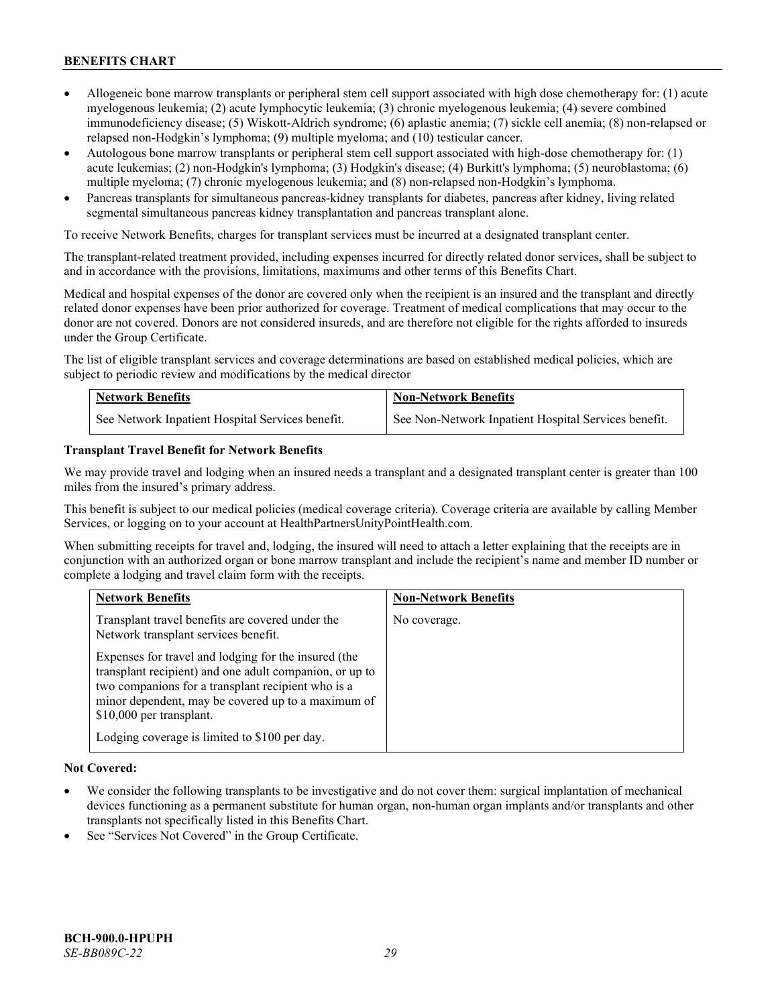- Allogeneic bone marrow transplants or peripheral stem cell support associated with high dose chemotherapy for: (1) acute myelogenous leukemia; (2) acute lymphocytic leukemia; (3) chronic myelogenous leukemia; (4) severe combined immunodeficiency disease; (5) Wiskott-Aldrich syndrome; (6) aplastic anemia; (7) sickle cell anemia; (8) non-relapsed or relapsed non-Hodgkin's lymphoma; (9) multiple myeloma; and (10) testicular cancer.
- Autologous bone marrow transplants or peripheral stem cell support associated with high-dose chemotherapy for: (1) acute leukemias; (2) non-Hodgkin's lymphoma; (3) Hodgkin's disease; (4) Burkitt's lymphoma; (5) neuroblastoma; (6) multiple myeloma; (7) chronic myelogenous leukemia; and (8) non-relapsed non-Hodgkin's lymphoma.
- Pancreas transplants for simultaneous pancreas-kidney transplants for diabetes, pancreas after kidney, living related segmental simultaneous pancreas kidney transplantation and pancreas transplant alone.

To receive Network Benefits, charges for transplant services must be incurred at a designated transplant center.

The transplant-related treatment provided, including expenses incurred for directly related donor services, shall be subject to and in accordance with the provisions, limitations, maximums and other terms of this Benefits Chart.

Medical and hospital expenses of the donor are covered only when the recipient is an insured and the transplant and directly related donor expenses have been prior authorized for coverage. Treatment of medical complications that may occur to the donor are not covered. Donors are not considered insureds, and are therefore not eligible for the rights afforded to insureds under the Group Certificate.

The list of eligible transplant services and coverage determinations are based on established medical policies, which are subject to periodic review and modifications by the medical director

| <b>Network Benefits</b>                          | <b>Non-Network Benefits</b>                          |
|--------------------------------------------------|------------------------------------------------------|
| See Network Inpatient Hospital Services benefit. | See Non-Network Inpatient Hospital Services benefit. |

# **Transplant Travel Benefit for Network Benefits**

We may provide travel and lodging when an insured needs a transplant and a designated transplant center is greater than 100 miles from the insured's primary address.

This benefit is subject to our medical policies (medical coverage criteria). Coverage criteria are available by calling Member Services, or logging on to your account at [HealthPartnersUnityPointHealth.com.](https://www.healthpartnersunitypointhealth.com/)

When submitting receipts for travel and, lodging, the insured will need to attach a letter explaining that the receipts are in conjunction with an authorized organ or bone marrow transplant and include the recipient's name and member ID number or complete a lodging and travel claim form with the receipts.

| <b>Network Benefits</b>                                                                                                                                                                                                                                 | <b>Non-Network Benefits</b> |
|---------------------------------------------------------------------------------------------------------------------------------------------------------------------------------------------------------------------------------------------------------|-----------------------------|
| Transplant travel benefits are covered under the<br>Network transplant services benefit.                                                                                                                                                                | No coverage.                |
| Expenses for travel and lodging for the insured (the<br>transplant recipient) and one adult companion, or up to<br>two companions for a transplant recipient who is a<br>minor dependent, may be covered up to a maximum of<br>\$10,000 per transplant. |                             |
| Lodging coverage is limited to \$100 per day.                                                                                                                                                                                                           |                             |

# **Not Covered:**

- We consider the following transplants to be investigative and do not cover them: surgical implantation of mechanical devices functioning as a permanent substitute for human organ, non-human organ implants and/or transplants and other transplants not specifically listed in this Benefits Chart.
- See "Services Not Covered" in the Group Certificate.